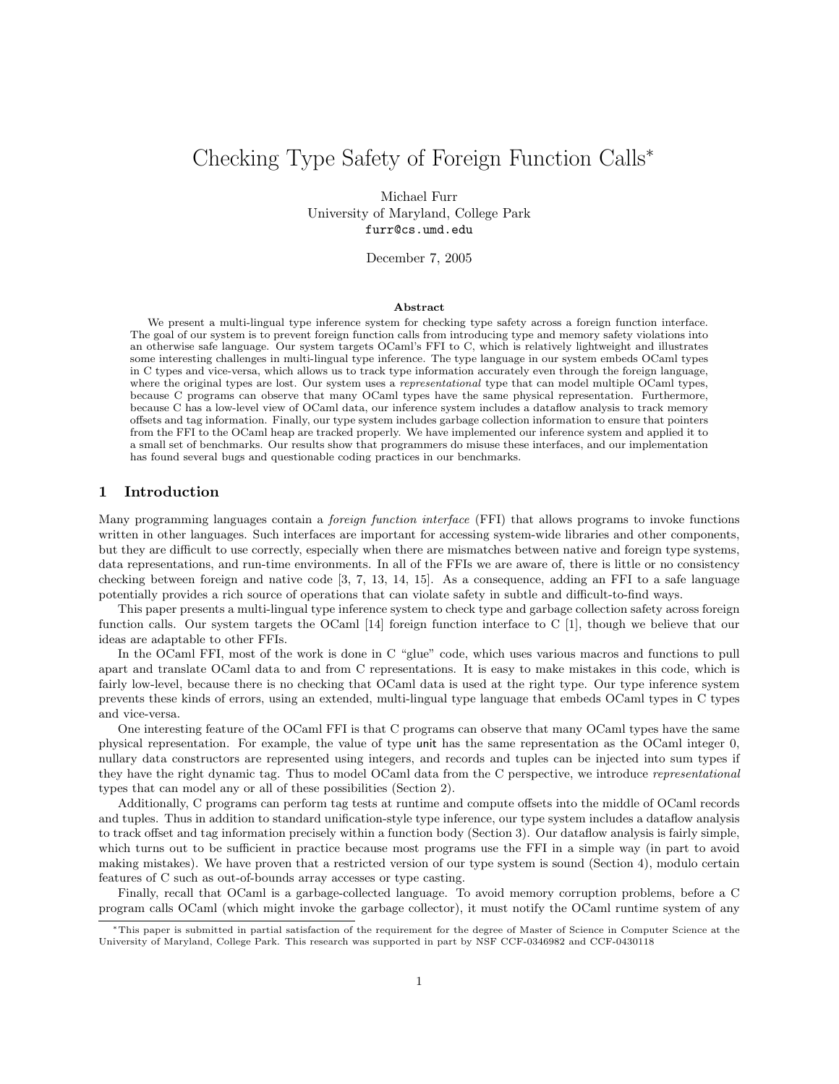# Checking Type Safety of Foreign Function Calls<sup>∗</sup>

Michael Furr University of Maryland, College Park furr@cs.umd.edu

December 7, 2005

#### Abstract

We present a multi-lingual type inference system for checking type safety across a foreign function interface. The goal of our system is to prevent foreign function calls from introducing type and memory safety violations into an otherwise safe language. Our system targets OCaml's FFI to C, which is relatively lightweight and illustrates some interesting challenges in multi-lingual type inference. The type language in our system embeds OCaml types in C types and vice-versa, which allows us to track type information accurately even through the foreign language, where the original types are lost. Our system uses a *representational* type that can model multiple OCaml types, because C programs can observe that many OCaml types have the same physical representation. Furthermore, because C has a low-level view of OCaml data, our inference system includes a dataflow analysis to track memory offsets and tag information. Finally, our type system includes garbage collection information to ensure that pointers from the FFI to the OCaml heap are tracked properly. We have implemented our inference system and applied it to a small set of benchmarks. Our results show that programmers do misuse these interfaces, and our implementation has found several bugs and questionable coding practices in our benchmarks.

# 1 Introduction

Many programming languages contain a foreign function interface (FFI) that allows programs to invoke functions written in other languages. Such interfaces are important for accessing system-wide libraries and other components, but they are difficult to use correctly, especially when there are mismatches between native and foreign type systems, data representations, and run-time environments. In all of the FFIs we are aware of, there is little or no consistency checking between foreign and native code [3, 7, 13, 14, 15]. As a consequence, adding an FFI to a safe language potentially provides a rich source of operations that can violate safety in subtle and difficult-to-find ways.

This paper presents a multi-lingual type inference system to check type and garbage collection safety across foreign function calls. Our system targets the OCaml [14] foreign function interface to C [1], though we believe that our ideas are adaptable to other FFIs.

In the OCaml FFI, most of the work is done in C "glue" code, which uses various macros and functions to pull apart and translate OCaml data to and from C representations. It is easy to make mistakes in this code, which is fairly low-level, because there is no checking that OCaml data is used at the right type. Our type inference system prevents these kinds of errors, using an extended, multi-lingual type language that embeds OCaml types in C types and vice-versa.

One interesting feature of the OCaml FFI is that C programs can observe that many OCaml types have the same physical representation. For example, the value of type unit has the same representation as the OCaml integer 0, nullary data constructors are represented using integers, and records and tuples can be injected into sum types if they have the right dynamic tag. Thus to model OCaml data from the C perspective, we introduce representational types that can model any or all of these possibilities (Section 2).

Additionally, C programs can perform tag tests at runtime and compute offsets into the middle of OCaml records and tuples. Thus in addition to standard unification-style type inference, our type system includes a dataflow analysis to track offset and tag information precisely within a function body (Section 3). Our dataflow analysis is fairly simple, which turns out to be sufficient in practice because most programs use the FFI in a simple way (in part to avoid making mistakes). We have proven that a restricted version of our type system is sound (Section 4), modulo certain features of C such as out-of-bounds array accesses or type casting.

Finally, recall that OCaml is a garbage-collected language. To avoid memory corruption problems, before a C program calls OCaml (which might invoke the garbage collector), it must notify the OCaml runtime system of any

<sup>∗</sup>This paper is submitted in partial satisfaction of the requirement for the degree of Master of Science in Computer Science at the University of Maryland, College Park. This research was supported in part by NSF CCF-0346982 and CCF-0430118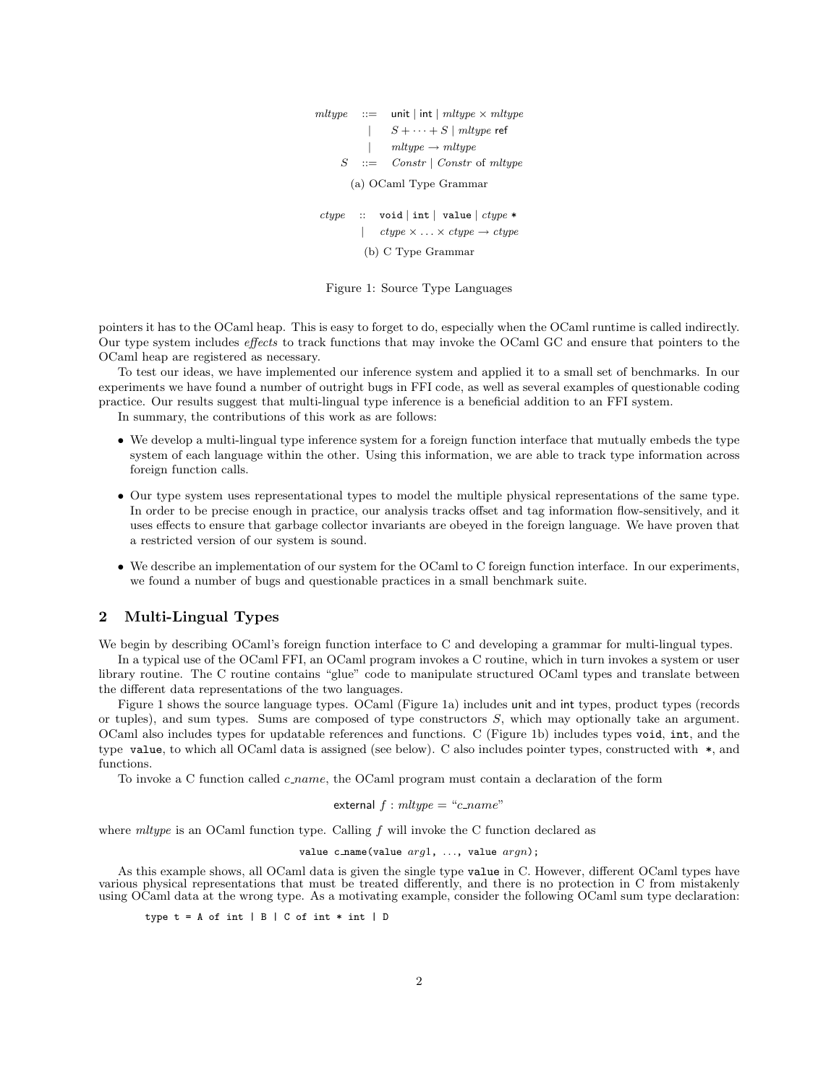| $mltype :: =$          |  | unit   int   $mltype \times mltype$                          |  |  |  |
|------------------------|--|--------------------------------------------------------------|--|--|--|
|                        |  | $\vert$ $S + \cdots + S \vert$ mltype ref                    |  |  |  |
|                        |  | $mltupe \rightarrow mltupe$                                  |  |  |  |
|                        |  | $S$ ::= Constr   Constr of mitype                            |  |  |  |
| (a) OCaml Type Grammar |  |                                                              |  |  |  |
|                        |  | $ctype$ :: void   int   value   $ctype *$                    |  |  |  |
|                        |  | $\vert$ ctype $\times \ldots \times ctype \rightarrow ctype$ |  |  |  |
| (b) C Type Grammar     |  |                                                              |  |  |  |

Figure 1: Source Type Languages

pointers it has to the OCaml heap. This is easy to forget to do, especially when the OCaml runtime is called indirectly. Our type system includes effects to track functions that may invoke the OCaml GC and ensure that pointers to the OCaml heap are registered as necessary.

To test our ideas, we have implemented our inference system and applied it to a small set of benchmarks. In our experiments we have found a number of outright bugs in FFI code, as well as several examples of questionable coding practice. Our results suggest that multi-lingual type inference is a beneficial addition to an FFI system.

In summary, the contributions of this work as are follows:

- We develop a multi-lingual type inference system for a foreign function interface that mutually embeds the type system of each language within the other. Using this information, we are able to track type information across foreign function calls.
- Our type system uses representational types to model the multiple physical representations of the same type. In order to be precise enough in practice, our analysis tracks offset and tag information flow-sensitively, and it uses effects to ensure that garbage collector invariants are obeyed in the foreign language. We have proven that a restricted version of our system is sound.
- We describe an implementation of our system for the OCaml to C foreign function interface. In our experiments, we found a number of bugs and questionable practices in a small benchmark suite.

# 2 Multi-Lingual Types

We begin by describing OCaml's foreign function interface to C and developing a grammar for multi-lingual types.

In a typical use of the OCaml FFI, an OCaml program invokes a C routine, which in turn invokes a system or user library routine. The C routine contains "glue" code to manipulate structured OCaml types and translate between the different data representations of the two languages.

Figure 1 shows the source language types. OCaml (Figure 1a) includes unit and int types, product types (records or tuples), and sum types. Sums are composed of type constructors S, which may optionally take an argument. OCaml also includes types for updatable references and functions. C (Figure 1b) includes types void, int, and the type value, to which all OCaml data is assigned (see below). C also includes pointer types, constructed with \*, and functions.

To invoke a C function called  $c$ -name, the OCaml program must contain a declaration of the form

external 
$$
f : mltype = "c_name"
$$

where  $mltype$  is an OCaml function type. Calling f will invoke the C function declared as

value c\_name(value  $arg1, \ldots$ , value  $argn$ );

As this example shows, all OCaml data is given the single type value in C. However, different OCaml types have various physical representations that must be treated differently, and there is no protection in C from mistakenly using OCaml data at the wrong type. As a motivating example, consider the following OCaml sum type declaration:

type  $t = A$  of int  $| B | C$  of int  $*$  int  $| D$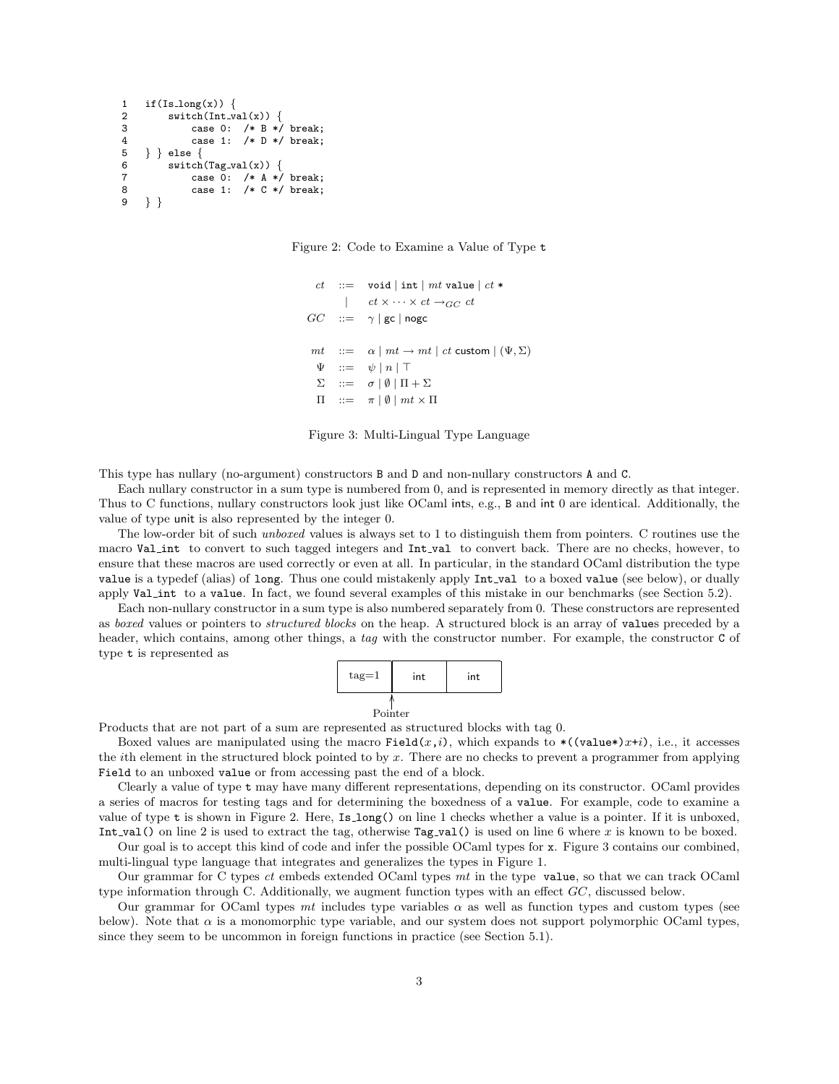```
1 if(Is_long(x)) {<br>2 switch(Int_v
2 switch(Int_val(x)) {<br>3 case 0: /* R */3 case 0: /* B * break;<br>4 case 1: /* D * break:
4 case 1: /* D */ break;<br>5 } } else {
\begin{array}{c} 5 \\ 6 \end{array} } } else {
          switch(Tag_val(x)) {
7 case 0: /* A */ break;
8 case 1: /* C */ break;<br>9 } }
     9 } }
```
Figure 2: Code to Examine a Value of Type t

```
ct ::= void | int | mt value | ct *| ct \times \cdots \times ct \rightarrow_{GC} ctGC ::= \gamma | gc | nogc
 mt ::= \alpha \mid mt \rightarrow mt \mid ct custom | (\Psi, \Sigma)\Psi ::= \psi | n | T\Sigma ::= σ | ∅ | \Pi + Σ\Pi ::= \pi | \emptyset | mt \times \Pi
```
Figure 3: Multi-Lingual Type Language

This type has nullary (no-argument) constructors B and D and non-nullary constructors A and C.

Each nullary constructor in a sum type is numbered from 0, and is represented in memory directly as that integer. Thus to C functions, nullary constructors look just like OCaml ints, e.g., B and int 0 are identical. Additionally, the value of type unit is also represented by the integer 0.

The low-order bit of such *unboxed* values is always set to 1 to distinguish them from pointers. C routines use the macro Val int to convert to such tagged integers and Int val to convert back. There are no checks, however, to ensure that these macros are used correctly or even at all. In particular, in the standard OCaml distribution the type value is a typedef (alias) of long. Thus one could mistakenly apply Int val to a boxed value (see below), or dually apply Val int to a value. In fact, we found several examples of this mistake in our benchmarks (see Section 5.2).

Each non-nullary constructor in a sum type is also numbered separately from 0. These constructors are represented as boxed values or pointers to structured blocks on the heap. A structured block is an array of values preceded by a header, which contains, among other things, a tag with the constructor number. For example, the constructor C of type t is represented as



Products that are not part of a sum are represented as structured blocks with tag 0.

Boxed values are manipulated using the macro Field $(x,i)$ , which expands to  $*(\text{value*})x+i)$ , i.e., it accesses the ith element in the structured block pointed to by x. There are no checks to prevent a programmer from applying Field to an unboxed value or from accessing past the end of a block.

Clearly a value of type t may have many different representations, depending on its constructor. OCaml provides a series of macros for testing tags and for determining the boxedness of a value. For example, code to examine a value of type t is shown in Figure 2. Here, Is long() on line 1 checks whether a value is a pointer. If it is unboxed, Int val() on line 2 is used to extract the tag, otherwise Tag val() is used on line 6 where x is known to be boxed.

Our goal is to accept this kind of code and infer the possible OCaml types for x. Figure 3 contains our combined, multi-lingual type language that integrates and generalizes the types in Figure 1.

Our grammar for C types ct embeds extended OCaml types mt in the type value, so that we can track OCaml type information through C. Additionally, we augment function types with an effect  $GC$ , discussed below.

Our grammar for OCaml types mt includes type variables  $\alpha$  as well as function types and custom types (see below). Note that  $\alpha$  is a monomorphic type variable, and our system does not support polymorphic OCaml types, since they seem to be uncommon in foreign functions in practice (see Section 5.1).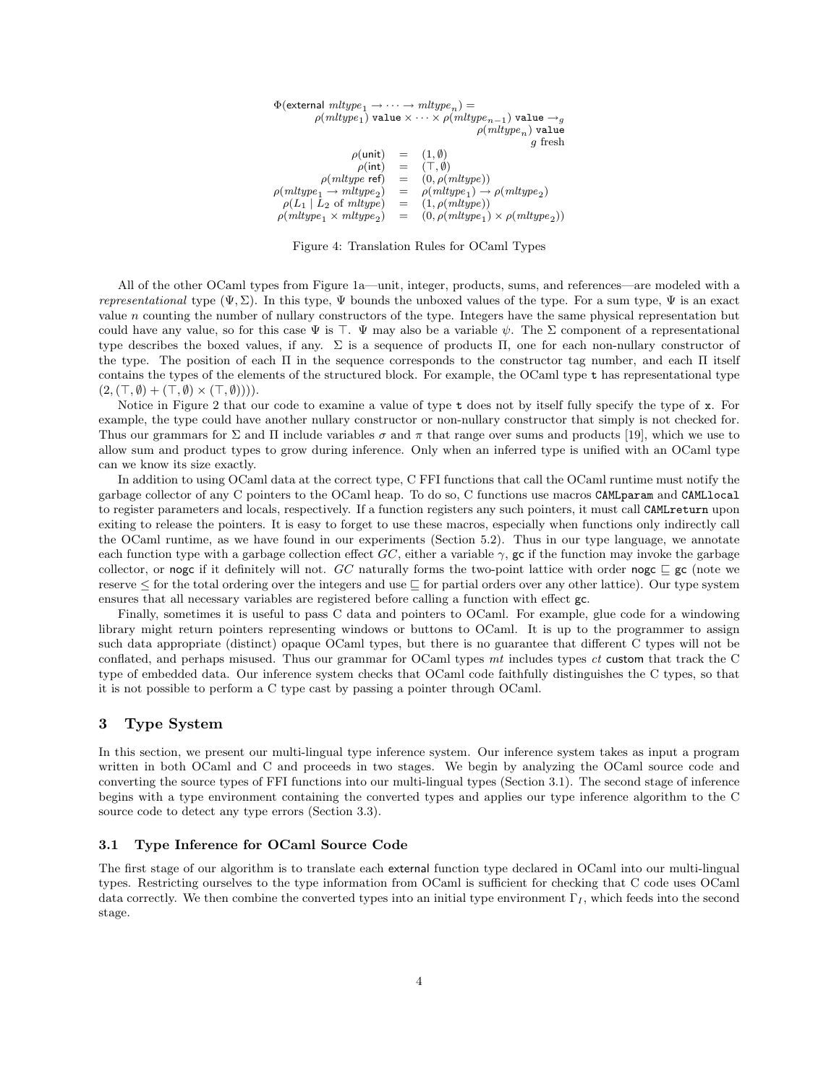$\Phi$ (external  $mltype_1 \rightarrow \cdots \rightarrow mltype_n$ ) =  $\rho({\it mlype}_1)$  value  $\times \cdots \times \rho({\it mlype}_{n-1})$  value  $\rightarrow_g$  $\rho(mltype_n)$  value g fresh  $\rho(\text{unit}) = (1, \emptyset)$ <br>  $\rho(\text{int}) = (\top, \emptyset)$  $\rho(int) = (\top, \emptyset)$ <br>  $\rho(mltype \text{ ref}) = (0, \rho(n))$  $= (0, \rho(mltype))$  $\rho(mltype_1 \rightarrow mltype_2)$ ) =  $\rho(mltype_1) \rightarrow \rho(mltype_2)$  $\rho(L_1 | L_2 \text{ of } mltype) = (1, \rho(mltype))$  $\rho(mltype_1 \times mltype_2)$  $= (0, \rho(mltype_1) \times \rho(mltype_2))$ 

Figure 4: Translation Rules for OCaml Types

All of the other OCaml types from Figure 1a—unit, integer, products, sums, and references—are modeled with a representational type  $(\Psi, \Sigma)$ . In this type,  $\Psi$  bounds the unboxed values of the type. For a sum type,  $\Psi$  is an exact value  $n$  counting the number of nullary constructors of the type. Integers have the same physical representation but could have any value, so for this case  $\Psi$  is  $\top$ .  $\Psi$  may also be a variable  $\psi$ . The  $\Sigma$  component of a representational type describes the boxed values, if any. Σ is a sequence of products Π, one for each non-nullary constructor of the type. The position of each Π in the sequence corresponds to the constructor tag number, and each Π itself contains the types of the elements of the structured block. For example, the OCaml type t has representational type  $(2, (\top, \emptyset) + (\top, \emptyset) \times (\top, \emptyset)))$ .

Notice in Figure 2 that our code to examine a value of type t does not by itself fully specify the type of x. For example, the type could have another nullary constructor or non-nullary constructor that simply is not checked for. Thus our grammars for  $\Sigma$  and  $\Pi$  include variables  $\sigma$  and  $\pi$  that range over sums and products [19], which we use to allow sum and product types to grow during inference. Only when an inferred type is unified with an OCaml type can we know its size exactly.

In addition to using OCaml data at the correct type, C FFI functions that call the OCaml runtime must notify the garbage collector of any C pointers to the OCaml heap. To do so, C functions use macros CAMLparam and CAMLlocal to register parameters and locals, respectively. If a function registers any such pointers, it must call CAMLreturn upon exiting to release the pointers. It is easy to forget to use these macros, especially when functions only indirectly call the OCaml runtime, as we have found in our experiments (Section 5.2). Thus in our type language, we annotate each function type with a garbage collection effect GC, either a variable  $\gamma$ , gc if the function may invoke the garbage collector, or nogc if it definitely will not. GC naturally forms the two-point lattice with order nogc  $\subseteq$  gc (note we reserve  $\leq$  for the total ordering over the integers and use  $\sqsubseteq$  for partial orders over any other lattice). Our type system ensures that all necessary variables are registered before calling a function with effect gc.

Finally, sometimes it is useful to pass C data and pointers to OCaml. For example, glue code for a windowing library might return pointers representing windows or buttons to OCaml. It is up to the programmer to assign such data appropriate (distinct) opaque OCaml types, but there is no guarantee that different C types will not be conflated, and perhaps misused. Thus our grammar for OCaml types mt includes types ct custom that track the C type of embedded data. Our inference system checks that OCaml code faithfully distinguishes the C types, so that it is not possible to perform a C type cast by passing a pointer through OCaml.

# 3 Type System

In this section, we present our multi-lingual type inference system. Our inference system takes as input a program written in both OCaml and C and proceeds in two stages. We begin by analyzing the OCaml source code and converting the source types of FFI functions into our multi-lingual types (Section 3.1). The second stage of inference begins with a type environment containing the converted types and applies our type inference algorithm to the C source code to detect any type errors (Section 3.3).

## 3.1 Type Inference for OCaml Source Code

The first stage of our algorithm is to translate each external function type declared in OCaml into our multi-lingual types. Restricting ourselves to the type information from OCaml is sufficient for checking that C code uses OCaml data correctly. We then combine the converted types into an initial type environment  $\Gamma_I$ , which feeds into the second stage.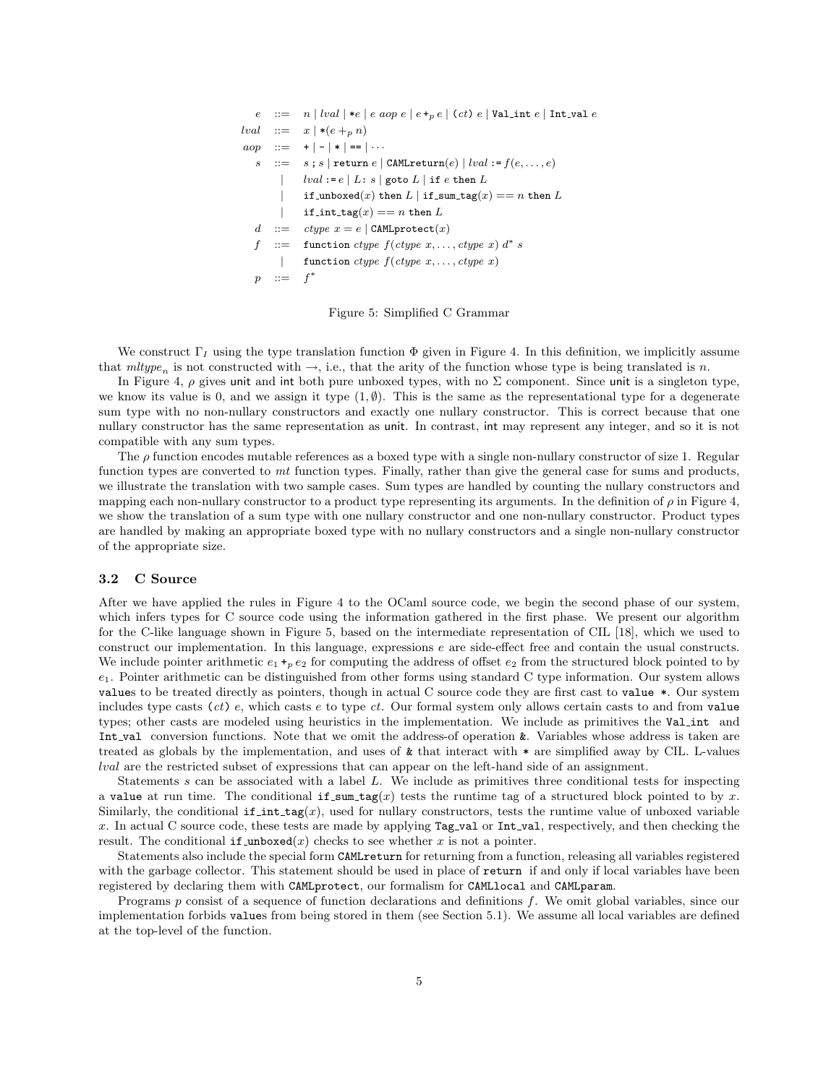|                    | $e$ ::= $n    val  * e   e aop e   e +_0 e   (ct) e  $ Valint $e  $ Int_val $e$ |
|--------------------|---------------------------------------------------------------------------------|
|                    | $lval ::= x   * (e +_p n)$                                                      |
|                    | $aop ::= + - *  ==  $                                                           |
|                    | $s$ : = $s$ ; $s$   return $e$   CAML return(e)   lval := $f(e, \ldots, e)$     |
|                    | $lval := e \mid L : s \mid \text{goto } L \mid \text{if } e \text{ then } L$    |
| $\mathbf{L}$       | if_unboxed(x) then L   if_sum_tag(x) == n then L                                |
|                    | if int $\text{tag}(x) == n$ then L                                              |
|                    | d ::= $ctype x = e$ CAMLprotect $(x)$                                           |
|                    | $f$ ::= function ctype $f(ctype x, \ldots, ctype x) d^* s$                      |
| $\mathbf{I}$       | function ctype $f(ctype x, \ldots, ctype x)$                                    |
| $\therefore = f^*$ |                                                                                 |

Figure 5: Simplified C Grammar

We construct  $\Gamma_I$  using the type translation function  $\Phi$  given in Figure 4. In this definition, we implicitly assume that  $mltype_n$  is not constructed with  $\rightarrow$ , i.e., that the arity of the function whose type is being translated is n.

In Figure 4,  $\rho$  gives unit and int both pure unboxed types, with no  $\Sigma$  component. Since unit is a singleton type, we know its value is 0, and we assign it type  $(1, \emptyset)$ . This is the same as the representational type for a degenerate sum type with no non-nullary constructors and exactly one nullary constructor. This is correct because that one nullary constructor has the same representation as unit. In contrast, int may represent any integer, and so it is not compatible with any sum types.

The  $\rho$  function encodes mutable references as a boxed type with a single non-nullary constructor of size 1. Regular function types are converted to mt function types. Finally, rather than give the general case for sums and products, we illustrate the translation with two sample cases. Sum types are handled by counting the nullary constructors and mapping each non-nullary constructor to a product type representing its arguments. In the definition of  $\rho$  in Figure 4, we show the translation of a sum type with one nullary constructor and one non-nullary constructor. Product types are handled by making an appropriate boxed type with no nullary constructors and a single non-nullary constructor of the appropriate size.

## 3.2 C Source

After we have applied the rules in Figure 4 to the OCaml source code, we begin the second phase of our system, which infers types for C source code using the information gathered in the first phase. We present our algorithm for the C-like language shown in Figure 5, based on the intermediate representation of CIL [18], which we used to construct our implementation. In this language, expressions e are side-effect free and contain the usual constructs. We include pointer arithmetic  $e_1 +_p e_2$  for computing the address of offset  $e_2$  from the structured block pointed to by  $e_1$ . Pointer arithmetic can be distinguished from other forms using standard C type information. Our system allows values to be treated directly as pointers, though in actual C source code they are first cast to value \*. Our system includes type casts  $(ct)$  e, which casts e to type ct. Our formal system only allows certain casts to and from value types; other casts are modeled using heuristics in the implementation. We include as primitives the Val int and Int val conversion functions. Note that we omit the address-of operation &. Variables whose address is taken are treated as globals by the implementation, and uses of & that interact with \* are simplified away by CIL. L-values lval are the restricted subset of expressions that can appear on the left-hand side of an assignment.

Statements s can be associated with a label L. We include as primitives three conditional tests for inspecting a value at run time. The conditional if sum  $\text{tag}(x)$  tests the runtime tag of a structured block pointed to by x. Similarly, the conditional  $if.int.tag(x)$ , used for nullary constructors, tests the runtime value of unboxed variable x. In actual C source code, these tests are made by applying Tag-val or Int-val, respectively, and then checking the result. The conditional if unboxed(x) checks to see whether x is not a pointer.

Statements also include the special form CAMLreturn for returning from a function, releasing all variables registered with the garbage collector. This statement should be used in place of return if and only if local variables have been registered by declaring them with CAMLprotect, our formalism for CAMLlocal and CAMLparam.

Programs p consist of a sequence of function declarations and definitions f. We omit global variables, since our implementation forbids values from being stored in them (see Section 5.1). We assume all local variables are defined at the top-level of the function.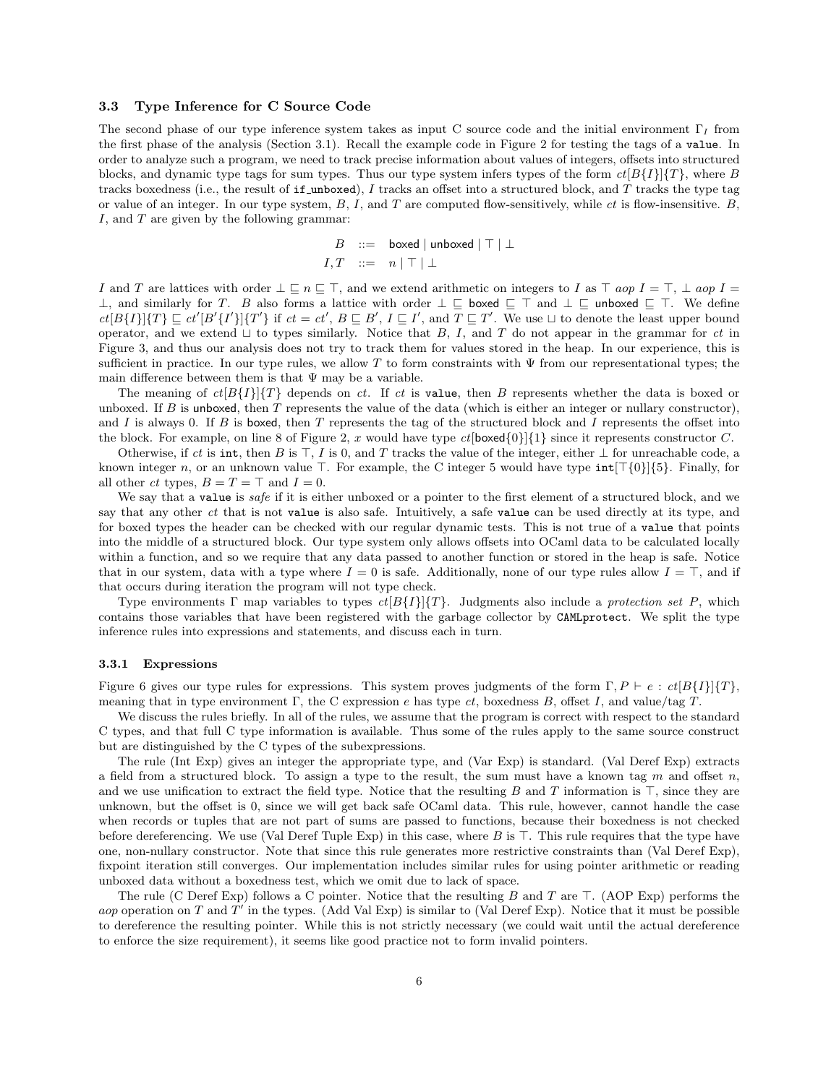#### 3.3 Type Inference for C Source Code

The second phase of our type inference system takes as input C source code and the initial environment  $\Gamma_I$  from the first phase of the analysis (Section 3.1). Recall the example code in Figure 2 for testing the tags of a value. In order to analyze such a program, we need to track precise information about values of integers, offsets into structured blocks, and dynamic type tags for sum types. Thus our type system infers types of the form  $ct[B{I}]{T}$ , where B tracks boxedness (i.e., the result of if unboxed), I tracks an offset into a structured block, and  $T$  tracks the type tag or value of an integer. In our type system,  $B$ ,  $I$ , and  $T$  are computed flow-sensitively, while  $ct$  is flow-insensitive.  $B$ , I, and T are given by the following grammar:

$$
B ::= \text{boxed} | \text{unboxed} | \top | \bot
$$
  

$$
I, T ::= n | \top | \bot
$$

I and T are lattices with order  $\bot \sqsubseteq n \sqsubseteq \top$ , and we extend arithmetic on integers to I as  $\top$  aop I =  $\top$ ,  $\bot$  aop I = ⊥, and similarly for T. B also forms a lattice with order  $\bot \sqsubseteq$  boxed  $\sqsubseteq \top$  and  $\bot \sqsubseteq$  unboxed  $\sqsubseteq \top$ . We define  $ct[B\{I\}]\{T\} \sqsubseteq ct'[B'\{I'\}]\{T'\}$  if  $ct = ct'$ ,  $B \sqsubseteq B'$ ,  $I \sqsubseteq I'$ , and  $T \sqsubseteq T'$ . We use  $\sqcup$  to denote the least upper bound operator, and we extend  $\sqcup$  to types similarly. Notice that B, I, and T do not appear in the grammar for ct in Figure 3, and thus our analysis does not try to track them for values stored in the heap. In our experience, this is sufficient in practice. In our type rules, we allow T to form constraints with  $\Psi$  from our representational types; the main difference between them is that  $\Psi$  may be a variable.

The meaning of  $ct[B\{I\}]\{T\}$  depends on ct. If ct is value, then B represents whether the data is boxed or unboxed. If  $B$  is unboxed, then  $T$  represents the value of the data (which is either an integer or nullary constructor), and I is always 0. If B is boxed, then T represents the tag of the structured block and I represents the offset into the block. For example, on line 8 of Figure 2, x would have type  $ct$ [boxed{0}]{1} since it represents constructor C.

Otherwise, if ct is int, then B is  $\top$ , I is 0, and T tracks the value of the integer, either  $\bot$  for unreachable code, a known integer n, or an unknown value  $\top$ . For example, the C integer 5 would have type  $int[\tau(0)]\{5\}$ . Finally, for all other *ct* types,  $B = T = \top$  and  $I = 0$ .

We say that a value is *safe* if it is either unboxed or a pointer to the first element of a structured block, and we say that any other ct that is not value is also safe. Intuitively, a safe value can be used directly at its type, and for boxed types the header can be checked with our regular dynamic tests. This is not true of a value that points into the middle of a structured block. Our type system only allows offsets into OCaml data to be calculated locally within a function, and so we require that any data passed to another function or stored in the heap is safe. Notice that in our system, data with a type where  $I = 0$  is safe. Additionally, none of our type rules allow  $I = \top$ , and if that occurs during iteration the program will not type check.

Type environments Γ map variables to types  $ct[B{I}][T]$ . Judgments also include a protection set P, which contains those variables that have been registered with the garbage collector by CAMLprotect. We split the type inference rules into expressions and statements, and discuss each in turn.

#### 3.3.1 Expressions

Figure 6 gives our type rules for expressions. This system proves judgments of the form  $\Gamma, P \vdash e : ct[B\{I\}]\{T\}$ , meaning that in type environment  $\Gamma$ , the C expression e has type ct, boxedness B, offset I, and value/tag T.

We discuss the rules briefly. In all of the rules, we assume that the program is correct with respect to the standard C types, and that full C type information is available. Thus some of the rules apply to the same source construct but are distinguished by the C types of the subexpressions.

The rule (Int Exp) gives an integer the appropriate type, and (Var Exp) is standard. (Val Deref Exp) extracts a field from a structured block. To assign a type to the result, the sum must have a known tag m and offset n, and we use unification to extract the field type. Notice that the resulting B and T information is  $\top$ , since they are unknown, but the offset is 0, since we will get back safe OCaml data. This rule, however, cannot handle the case when records or tuples that are not part of sums are passed to functions, because their boxedness is not checked before dereferencing. We use (Val Deref Tuple Exp) in this case, where  $B$  is  $\top$ . This rule requires that the type have one, non-nullary constructor. Note that since this rule generates more restrictive constraints than (Val Deref Exp), fixpoint iteration still converges. Our implementation includes similar rules for using pointer arithmetic or reading unboxed data without a boxedness test, which we omit due to lack of space.

The rule (C Deref Exp) follows a C pointer. Notice that the resulting B and T are  $\top$ . (AOP Exp) performs the aop operation on T and T' in the types. (Add Val Exp) is similar to (Val Deref Exp). Notice that it must be possible to dereference the resulting pointer. While this is not strictly necessary (we could wait until the actual dereference to enforce the size requirement), it seems like good practice not to form invalid pointers.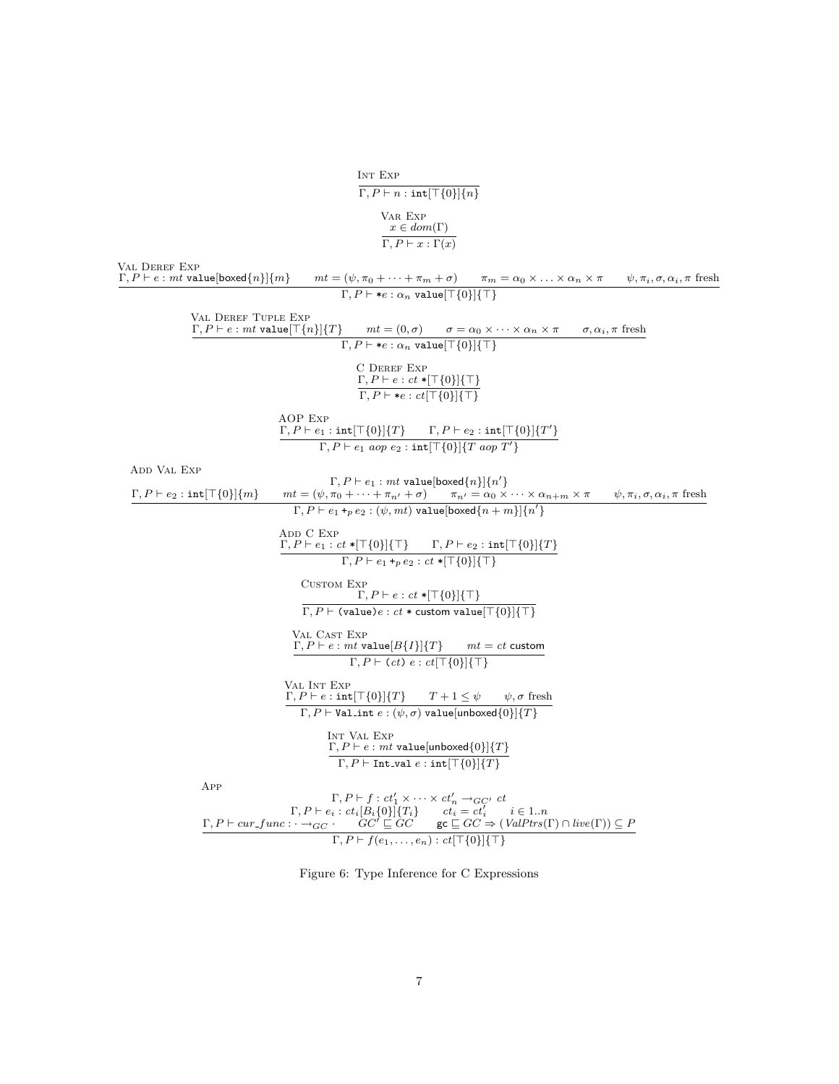Int Exp  $\Gamma, P \vdash n : \text{int}[\top\{0\}]\{n\}$ Var Exp  $x \in dom(\Gamma)$  $\Gamma, P \vdash x : \Gamma(x)$ Val Deref Exp  $\Gamma, P \vdash e : \textit{mt value}[\textit{boxed}\{n\} \{m\} \qquad \textit{mt} = (\psi, \pi_0 + \cdots + \pi_m + \sigma) \qquad \pi_m = \alpha_0 \times \ldots \times \alpha_n \times \pi \qquad \psi, \pi_i, \sigma, \alpha_i, \pi \text{ fresh}$  $\Gamma, P \vdash *e : \alpha_n \text{ value}[\top \{0\}]\{\top\}$ Val Deref Tuple Exp  $\Gamma, P \vdash e : mt$  value $[\top \{n\}] \{T\}$   $\qquad mt = (0, \sigma)$   $\qquad \sigma = \alpha_0 \times \cdots \times \alpha_n \times \pi$   $\qquad \sigma, \alpha_i, \pi$  fresh  $\Gamma, P \vdash *e : \alpha_n \text{ value}[\top\{0\}]\{\top\}$ C Deref Exp  $\Gamma, P \vdash e : ct * [\top\{0\}]\{\top\}$  $\Gamma, P \vdash *e : ct[\top \{0\}]\{\top\}$ AOP Exp  $\Gamma, P \vdash e_1 : \text{int}[\top\{0\}]\{T\}$   $\Gamma, P \vdash e_2 : \text{int}[\top\{0\}]\{T'\}$  $\Gamma, P \vdash e_1 \text{ aop } e_2 : \texttt{int}[\top\{0\}]\{T \text{ aop } T'\}$ Add Val Exp  $\Gamma, P \vdash e_1 : mt$  value[boxed $\{n\}]\{n'\}$  $\Gamma, P \vdash e_2 : \text{int}[\top\{0\}]\{m\}$   $mt = (\psi, \pi_0 + \cdots + \pi_{n'} + \sigma)$   $\pi_{n'} = \alpha_0 \times \cdots \times \alpha_{n+m} \times \pi$   $\psi, \pi_i, \sigma, \alpha_i, \pi$  fresh  $\Gamma, P \vdash e_1 +_p e_2 : (\psi, mt)$  value[boxed $\{n + m\}]\{n'\}$ ADD C  $\mathop{\rm Exp}\nolimits$  $\Gamma, P \vdash e_1 : ct * [\top\{0\}]\{\top\} \qquad \Gamma, P \vdash e_2 : \texttt{int}[\top\{0\}]\{T\}$  $\Gamma, P \vdash e_1 +_p e_2 : ct * [\top \{0\}] {\top}$ Custom Exp  $\Gamma, P \vdash e : ct * [\top \{0\}] {\{\top\}}$  $\Gamma, P \vdash$  (value) $e : ct *$  custom value $[\top \{0\}] \{\top\}$ Val Cast Exp  $\Gamma, P \vdash e : mt$  value $[B\{I\}]\{T\}$  mt = ct custom  $\Gamma, P \vdash (ct) e : ct[\top\{0\}]\{\top\}$ Val Int Exp  $\Gamma, P \vdash e : \text{int}[\top\{0\}]\{T\}$   $T + 1 \leq \psi$   $\psi, \sigma$  fresh Γ,  $P \vdash$  Val\_int  $e : (\psi, \sigma)$  value[unboxed{0}]{T} Int Val Exp  $\Gamma, P \vdash e : mt$  value[unboxed $\{0\}]\{T\}$  $\Gamma, P \vdash \mathtt{Int\_val}\ e : \mathtt{int}[\top \{0\}] \{T\}$ App  $\Gamma, P \vdash f : ct'_1 \times \cdots \times ct'_n \rightarrow_{GC'} ct$ <br>  $\Gamma, P \vdash e_i : ct_i[B_i\{0\}]\{T_i\}$   $ct_i = ct'_i$   $i \in 1..n$ <br>  $\Gamma, P \vdash cur\_func : \rightarrow_{GC} \cdot GC' \sqsubseteq GC$   $\mathbf{gc} \sqsubseteq GC \Rightarrow (ValPtrs(\Gamma) \cap live(\Gamma)) \subseteq P$  $\Gamma, P \vdash f(e_1, \ldots, e_n) : ct[\top\{0\}]\{\top\}$ 

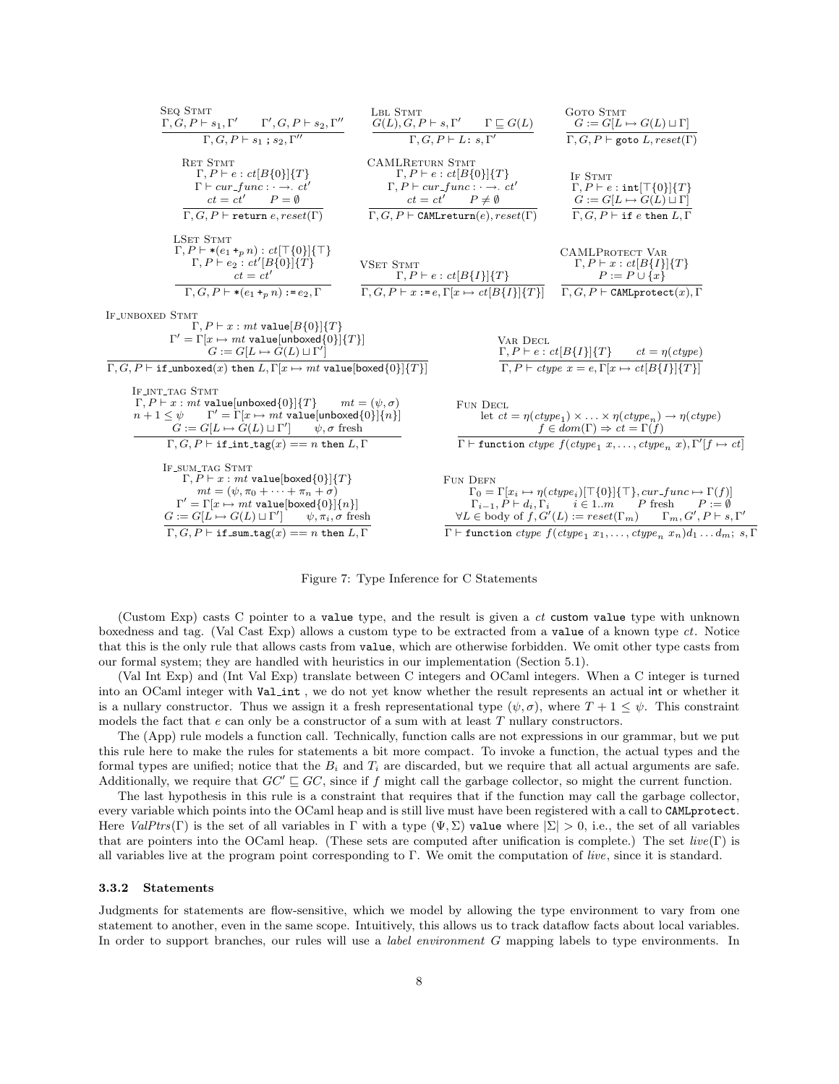$$
SEQ STMT
$$
\n
$$
T, G, P + s_1, T' - T', G, P + s_2, T''
$$
\n
$$
T, G, P + s_1, s_2, T''
$$
\n
$$
T, G, P + s_1, s_2, T''
$$
\n
$$
S(L), G, P + L : s, T'
$$
\n
$$
T, G, P + L : s, T'
$$
\n
$$
S(T) = T
$$
\n
$$
S(T) = T
$$
\n
$$
T, G, P + L : ct[B(0)](T)
$$
\n
$$
T, G, P + L : ct[B(0)](T)
$$
\n
$$
T, G, P + L : ct[B(0)](T)
$$
\n
$$
T, G, P + L : ct[B(0)](T)
$$
\n
$$
T, G, P + L : ct[B(0)](T)
$$
\n
$$
T, G, P + L : ct[B(0)](T)
$$
\n
$$
T, G, P + L : ct[B(0)](T)
$$
\n
$$
T, G, P + L : ct[B(0)](T)
$$
\n
$$
T, G, P + L : ct[B(0)](T)
$$
\n
$$
T, G, P + L : ct[B(0)](T)
$$
\n
$$
T, G, P + L : ct[B(0)](T)
$$
\n
$$
T, G, P + L : ct[B(1)](T)
$$
\n
$$
T, G, P + L : ct[B(1)](T)
$$
\n
$$
T, G, P + L : ct[B(1)](T)
$$
\n
$$
T, G, P + L : ct[B(1)](T)
$$
\n
$$
T, G, P + L : ct[B(1)](T)
$$
\n
$$
T, G, P + L : ct[B(1)](T)
$$
\n
$$
T, G, P + L : ct[B(1)](T)
$$
\n
$$
T, G, P + L : ct[B(0)](T)
$$
\n
$$
T, G, P + L : ct[B(0)](T)
$$
\n
$$
T, G, P + L : ct[B(0)](T)
$$
\n
$$
T, G, P + L : ct[B(0)](T)
$$
\n
$$
T, G, P + L : ct[B(1)](T)
$$
\n
$$
T, G, P + L
$$

Figure 7: Type Inference for C Statements

(Custom Exp) casts C pointer to a value type, and the result is given a ct custom value type with unknown boxedness and tag. (Val Cast Exp) allows a custom type to be extracted from a value of a known type ct. Notice that this is the only rule that allows casts from value, which are otherwise forbidden. We omit other type casts from our formal system; they are handled with heuristics in our implementation (Section 5.1).

(Val Int Exp) and (Int Val Exp) translate between C integers and OCaml integers. When a C integer is turned into an OCaml integer with Val int, we do not yet know whether the result represents an actual int or whether it is a nullary constructor. Thus we assign it a fresh representational type  $(\psi, \sigma)$ , where  $T + 1 \leq \psi$ . This constraint models the fact that  $e$  can only be a constructor of a sum with at least  $T$  nullary constructors.

The (App) rule models a function call. Technically, function calls are not expressions in our grammar, but we put this rule here to make the rules for statements a bit more compact. To invoke a function, the actual types and the formal types are unified; notice that the  $B_i$  and  $T_i$  are discarded, but we require that all actual arguments are safe. Additionally, we require that  $GC' \sqsubseteq GC$ , since if f might call the garbage collector, so might the current function.

The last hypothesis in this rule is a constraint that requires that if the function may call the garbage collector, every variable which points into the OCaml heap and is still live must have been registered with a call to CAMLprotect. Here  $ValPtrs(\Gamma)$  is the set of all variables in Γ with a type  $(\Psi, \Sigma)$  value where  $|\Sigma| > 0$ , i.e., the set of all variables that are pointers into the OCaml heap. (These sets are computed after unification is complete.) The set  $live(\Gamma)$  is all variables live at the program point corresponding to Γ. We omit the computation of live, since it is standard.

#### 3.3.2 Statements

Judgments for statements are flow-sensitive, which we model by allowing the type environment to vary from one statement to another, even in the same scope. Intuitively, this allows us to track dataflow facts about local variables. In order to support branches, our rules will use a *label environment G* mapping labels to type environments. In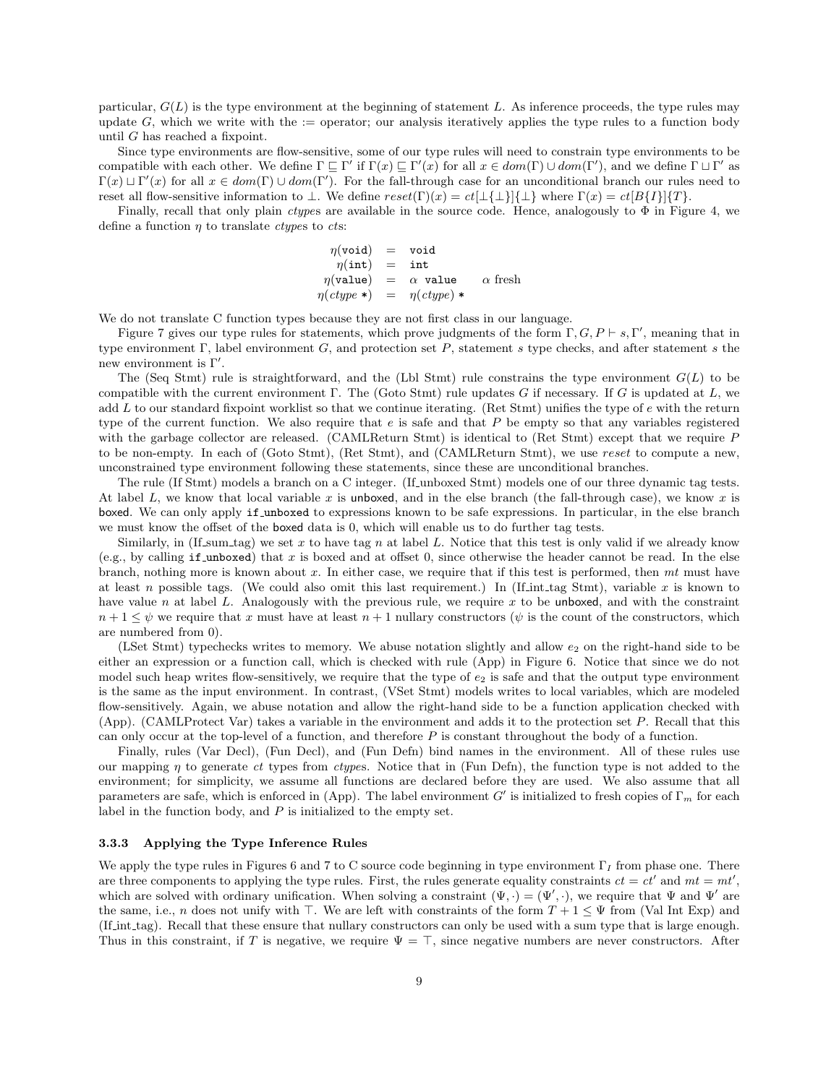particular,  $G(L)$  is the type environment at the beginning of statement L. As inference proceeds, the type rules may update  $G$ , which we write with the := operator; our analysis iteratively applies the type rules to a function body until  $G$  has reached a fixpoint.

Since type environments are flow-sensitive, some of our type rules will need to constrain type environments to be compatible with each other. We define  $\Gamma \sqsubseteq \Gamma'$  if  $\Gamma(x) \sqsubseteq \Gamma'(x)$  for all  $x \in dom(\Gamma) \cup dom(\Gamma')$ , and we define  $\Gamma \sqcup \Gamma'$  as  $\Gamma(x) \sqcup \Gamma'(x)$  for all  $x \in dom(\Gamma) \cup dom(\Gamma')$ . For the fall-through case for an unconditional branch our rules need to reset all flow-sensitive information to  $\bot$ . We define  $reset(\Gamma)(x) = ct[\bot\{\bot\}]\{\bot\}$  where  $\Gamma(x) = ct[B\{I\}]\{T\}$ .

Finally, recall that only plain *ctypes* are available in the source code. Hence, analogously to  $\Phi$  in Figure 4, we define a function  $\eta$  to translate *ctypes* to *cts*:

$$
\eta(\text{void}) = \text{void} \n\eta(\text{int}) = \text{int} \n\eta(\text{value}) = \alpha \text{ value} \alpha \text{ fresh} \n\eta(\text{ctype *)} = \eta(\text{ctype}) *
$$

We do not translate C function types because they are not first class in our language.

Figure 7 gives our type rules for statements, which prove judgments of the form  $\Gamma, G, P \vdash s, \Gamma'$ , meaning that in type environment  $\Gamma$ , label environment  $G$ , and protection set P, statement s type checks, and after statement s the new environment is  $\Gamma'$ .

The (Seq Stmt) rule is straightforward, and the (Lbl Stmt) rule constrains the type environment  $G(L)$  to be compatible with the current environment  $\Gamma$ . The (Goto Stmt) rule updates G if necessary. If G is updated at L, we add  $L$  to our standard fixpoint worklist so that we continue iterating. (Ret Stmt) unifies the type of  $e$  with the return type of the current function. We also require that  $e$  is safe and that  $P$  be empty so that any variables registered with the garbage collector are released. (CAMLReturn Stmt) is identical to (Ret Stmt) except that we require P to be non-empty. In each of (Goto Stmt), (Ret Stmt), and (CAMLReturn Stmt), we use reset to compute a new, unconstrained type environment following these statements, since these are unconditional branches.

The rule (If Stmt) models a branch on a C integer. (If unboxed Stmt) models one of our three dynamic tag tests. At label L, we know that local variable x is unboxed, and in the else branch (the fall-through case), we know x is boxed. We can only apply if unboxed to expressions known to be safe expressions. In particular, in the else branch we must know the offset of the boxed data is 0, which will enable us to do further tag tests.

Similarly, in (If sum tag) we set x to have tag n at label L. Notice that this test is only valid if we already know (e.g., by calling if unboxed) that x is boxed and at offset 0, since otherwise the header cannot be read. In the else branch, nothing more is known about  $x$ . In either case, we require that if this test is performed, then  $mt$  must have at least n possible tags. (We could also omit this last requirement.) In (If int tag Stmt), variable x is known to have value n at label L. Analogously with the previous rule, we require  $x$  to be unboxed, and with the constraint  $n+1 \leq \psi$  we require that x must have at least  $n+1$  nullary constructors ( $\psi$  is the count of the constructors, which are numbered from 0).

(LSet Stmt) typechecks writes to memory. We abuse notation slightly and allow  $e_2$  on the right-hand side to be either an expression or a function call, which is checked with rule (App) in Figure 6. Notice that since we do not model such heap writes flow-sensitively, we require that the type of  $e_2$  is safe and that the output type environment is the same as the input environment. In contrast, (VSet Stmt) models writes to local variables, which are modeled flow-sensitively. Again, we abuse notation and allow the right-hand side to be a function application checked with (App). (CAMLProtect Var) takes a variable in the environment and adds it to the protection set P. Recall that this can only occur at the top-level of a function, and therefore  $P$  is constant throughout the body of a function.

Finally, rules (Var Decl), (Fun Decl), and (Fun Defn) bind names in the environment. All of these rules use our mapping  $\eta$  to generate ct types from ctypes. Notice that in (Fun Defn), the function type is not added to the environment; for simplicity, we assume all functions are declared before they are used. We also assume that all parameters are safe, which is enforced in (App). The label environment G' is initialized to fresh copies of  $\Gamma_m$  for each label in the function body, and  $P$  is initialized to the empty set.

## 3.3.3 Applying the Type Inference Rules

We apply the type rules in Figures 6 and 7 to C source code beginning in type environment  $\Gamma_I$  from phase one. There are three components to applying the type rules. First, the rules generate equality constraints  $ct = ct'$  and  $mt = mt'$ , which are solved with ordinary unification. When solving a constraint  $(\Psi, \cdot) = (\Psi', \cdot)$ , we require that  $\Psi$  and  $\Psi'$  are the same, i.e., n does not unify with  $\top$ . We are left with constraints of the form  $T + 1 \leq \Psi$  from (Val Int Exp) and (If int tag). Recall that these ensure that nullary constructors can only be used with a sum type that is large enough. Thus in this constraint, if T is negative, we require  $\Psi = \top$ , since negative numbers are never constructors. After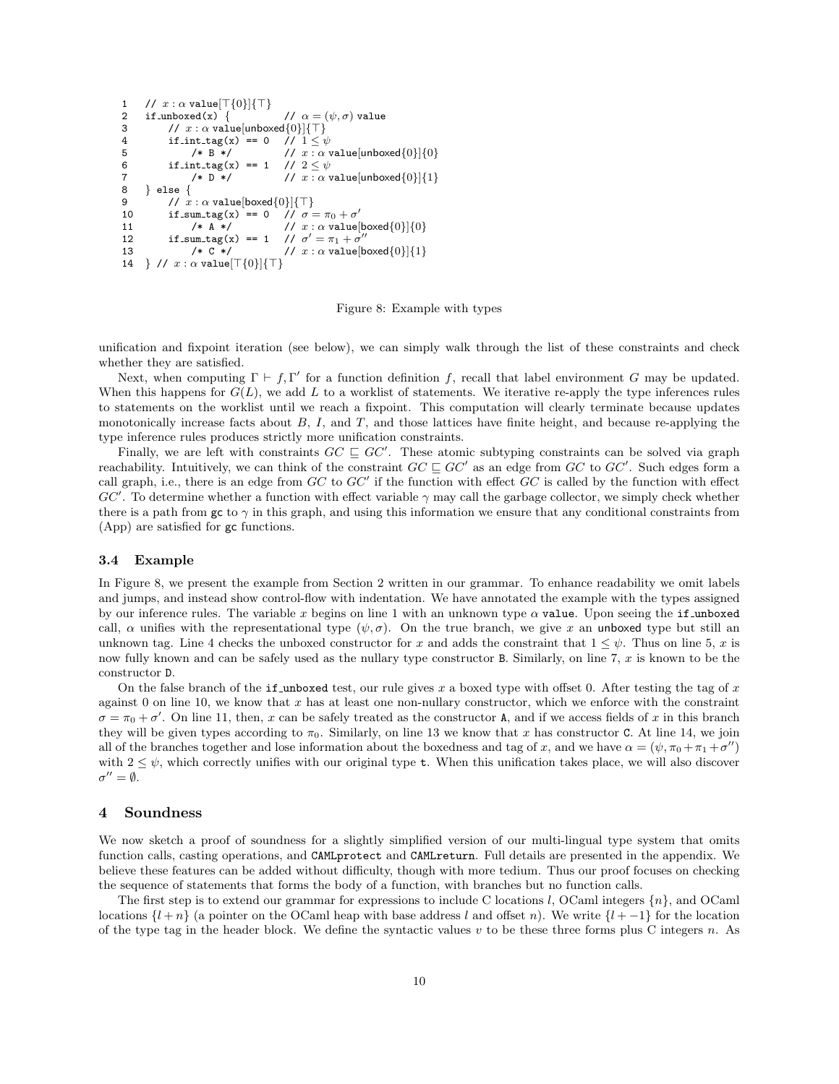```
1 // x : \alpha value[\top{0}]{\top]<br>2 if_unboxed(x) {
2 if unboxed(x) { \gamma = (\psi, \sigma) value
3 // x : \alpha value[unboxed{0}]{\top}<br>4 if_int_tag(x) == 0 // 1 \le \psi4 if \intint \text{tag}(x) = 0<br>5 /* B */
5 /* B */ // x : \alpha value[unboxed{0}]{0}<br>6 if int_tag(x) == 1 // 2 \le \psiif\_int\_tag(x) == 17 /* D */ \sqrt{2} // x : \alpha value[unboxed{0}]{1}
8 } else {<br>9 // x// x : \alpha value[boxed{0}]{\top}
10 if\_sum\_tag(x) == 0<br>11 /* A * /// \sigma = \pi_0 + \sigma'11 /* A */ // x : \alpha value[boxed{0}]{0}<br>12 if_sum_tag(x) == 1 // \sigma' = \pi_1 + \sigma''if\_sum\_tag(x)\gamma' = \pi_1 + \sigma''13 /* C */ 13 // x : \alpha value [boxed{0}]{1}
14 } // x : \alpha value \lceil \lceil \{0\} \rceil \lceil \lceil \ \rceil
```
Figure 8: Example with types

unification and fixpoint iteration (see below), we can simply walk through the list of these constraints and check whether they are satisfied.

Next, when computing  $\Gamma \vdash f, \Gamma'$  for a function definition f, recall that label environment G may be updated. When this happens for  $G(L)$ , we add L to a worklist of statements. We iterative re-apply the type inferences rules to statements on the worklist until we reach a fixpoint. This computation will clearly terminate because updates monotonically increase facts about  $B$ ,  $I$ , and  $T$ , and those lattices have finite height, and because re-applying the type inference rules produces strictly more unification constraints.

Finally, we are left with constraints  $GC \subseteq GC'$ . These atomic subtyping constraints can be solved via graph reachability. Intuitively, we can think of the constraint  $GC \sqsubseteq GC'$  as an edge from  $GC$  to  $GC'$ . Such edges form a call graph, i.e., there is an edge from  $GC$  to  $GC'$  if the function with effect  $GC$  is called by the function with effect GC'. To determine whether a function with effect variable  $\gamma$  may call the garbage collector, we simply check whether there is a path from gc to  $\gamma$  in this graph, and using this information we ensure that any conditional constraints from (App) are satisfied for gc functions.

#### 3.4 Example

In Figure 8, we present the example from Section 2 written in our grammar. To enhance readability we omit labels and jumps, and instead show control-flow with indentation. We have annotated the example with the types assigned by our inference rules. The variable x begins on line 1 with an unknown type  $\alpha$  value. Upon seeing the if unboxed call,  $\alpha$  unifies with the representational type  $(\psi, \sigma)$ . On the true branch, we give x an unboxed type but still an unknown tag. Line 4 checks the unboxed constructor for x and adds the constraint that  $1 \leq \psi$ . Thus on line 5, x is now fully known and can be safely used as the nullary type constructor B. Similarly, on line 7,  $x$  is known to be the constructor D.

On the false branch of the if unboxed test, our rule gives  $x$  a boxed type with offset 0. After testing the tag of  $x$ against 0 on line 10, we know that  $x$  has at least one non-nullary constructor, which we enforce with the constraint  $\sigma = \pi_0 + \sigma'$ . On line 11, then, x can be safely treated as the constructor A, and if we access fields of x in this branch they will be given types according to  $\pi_0$ . Similarly, on line 13 we know that x has constructor C. At line 14, we join all of the branches together and lose information about the boxedness and tag of x, and we have  $\alpha = (\psi, \pi_0 + \pi_1 + \sigma'')$ with  $2 \leq \psi$ , which correctly unifies with our original type **t**. When this unification takes place, we will also discover  $\sigma'' = \emptyset.$ 

## 4 Soundness

We now sketch a proof of soundness for a slightly simplified version of our multi-lingual type system that omits function calls, casting operations, and CAMLprotect and CAMLreturn. Full details are presented in the appendix. We believe these features can be added without difficulty, though with more tedium. Thus our proof focuses on checking the sequence of statements that forms the body of a function, with branches but no function calls.

The first step is to extend our grammar for expressions to include C locations l, OCaml integers  $\{n\}$ , and OCaml locations  $\{l + n\}$  (a pointer on the OCaml heap with base address l and offset n). We write  $\{l + -1\}$  for the location of the type tag in the header block. We define the syntactic values  $v$  to be these three forms plus C integers  $n$ . As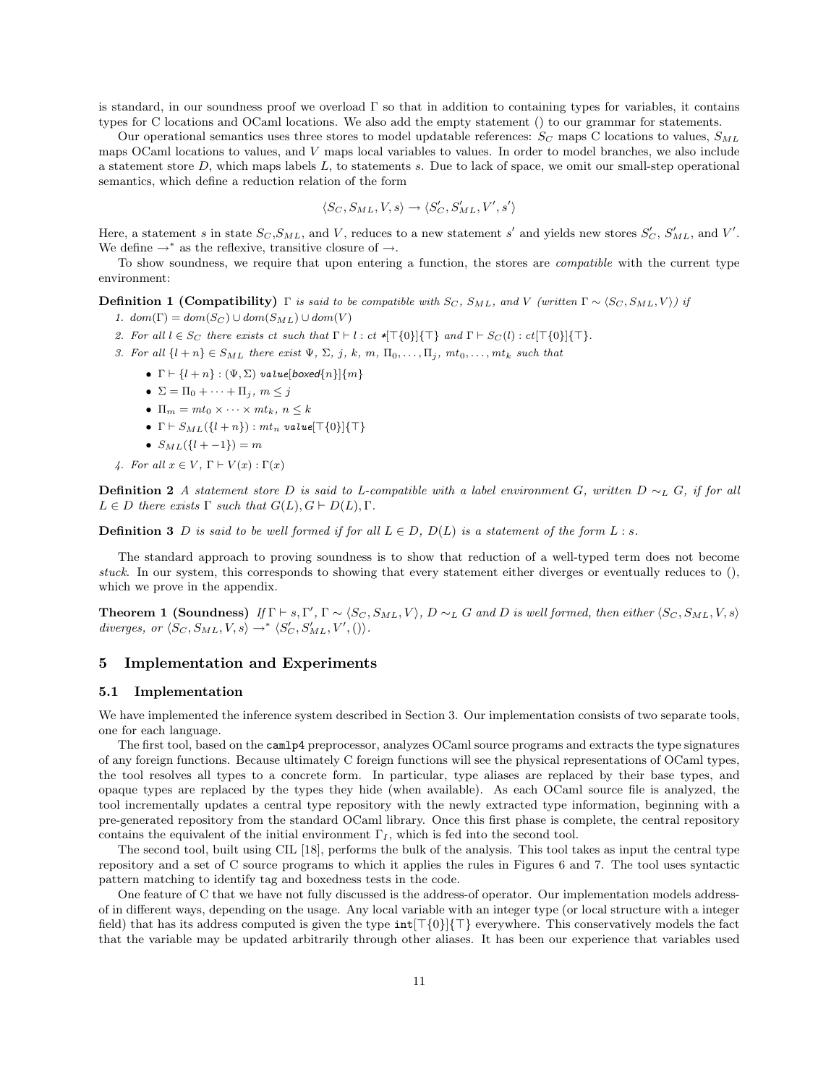is standard, in our soundness proof we overload  $\Gamma$  so that in addition to containing types for variables, it contains types for C locations and OCaml locations. We also add the empty statement () to our grammar for statements.

Our operational semantics uses three stores to model updatable references:  $S_C$  maps C locations to values,  $S_{ML}$ maps OCaml locations to values, and V maps local variables to values. In order to model branches, we also include a statement store  $D$ , which maps labels  $L$ , to statements  $s$ . Due to lack of space, we omit our small-step operational semantics, which define a reduction relation of the form

$$
\langle S_C, S_{ML}, V, s \rangle \rightarrow \langle S_C', S_{ML}', V', s' \rangle
$$

Here, a statement s in state  $S_C$ ,  $S_{ML}$ , and V, reduces to a new statement s' and yields new stores  $S_C'$ ,  $S_{ML}$ , and V'. We define  $\rightarrow^*$  as the reflexive, transitive closure of  $\rightarrow$ .

To show soundness, we require that upon entering a function, the stores are compatible with the current type environment:

**Definition 1 (Compatibility)** Γ is said to be compatible with  $S_C$ ,  $S_{ML}$ , and V (written  $\Gamma \sim \langle S_C, S_{ML}, V \rangle$ ) if

- 1.  $dom(\Gamma) = dom(S_C) \cup dom(S_{ML}) \cup dom(V)$
- 2. For all  $l \in S_C$  there exists ct such that  $\Gamma \vdash l : ct *[\top{0}]\{\top\}$  and  $\Gamma \vdash S_C(l) : ct[\top{0}]\{\top\}$ .
- 3. For all  $\{l + n\} \in S_{ML}$  there exist  $\Psi$ ,  $\Sigma$ , j, k, m,  $\Pi_0, \ldots, \Pi_j$ ,  $mt_0, \ldots, mt_k$  such that
	- $\Gamma \vdash \{l + n\} : (\Psi, \Sigma)$  value[boxed{n}]{ $m$ }
	- $\Sigma = \Pi_0 + \cdots + \Pi_j, m \leq j$
	- $\Pi_m = mt_0 \times \cdots \times mt_k, n \leq k$
	- $\Gamma \vdash S_{ML}(\{l + n\}) : mt_n$  value $[\top \{0\}]\{\top\}$
	- $S_{ML}({l + -1}) = m$
- 4. For all  $x \in V$ ,  $\Gamma \vdash V(x) : \Gamma(x)$

**Definition 2** A statement store D is said to L-compatible with a label environment G, written D ∼L G, if for all  $L \in D$  there exists  $\Gamma$  such that  $G(L), G \vdash D(L), \Gamma$ .

**Definition 3** D is said to be well formed if for all  $L \in D$ ,  $D(L)$  is a statement of the form L : s.

The standard approach to proving soundness is to show that reduction of a well-typed term does not become stuck. In our system, this corresponds to showing that every statement either diverges or eventually reduces to  $()$ , which we prove in the appendix.

**Theorem 1 (Soundness)** If  $\Gamma \vdash s, \Gamma', \Gamma \sim \langle S_C, S_{ML}, V \rangle$ , D  $\sim_L G$  and D is well formed, then either  $\langle S_C, S_{ML}, V, s \rangle$ diverges, or  $\langle S_C, S_{ML}, V, s \rangle \rightarrow^* \langle S_C', S_{ML}', V', () \rangle$ .

# 5 Implementation and Experiments

#### 5.1 Implementation

We have implemented the inference system described in Section 3. Our implementation consists of two separate tools, one for each language.

The first tool, based on the camlp4 preprocessor, analyzes OCaml source programs and extracts the type signatures of any foreign functions. Because ultimately C foreign functions will see the physical representations of OCaml types, the tool resolves all types to a concrete form. In particular, type aliases are replaced by their base types, and opaque types are replaced by the types they hide (when available). As each OCaml source file is analyzed, the tool incrementally updates a central type repository with the newly extracted type information, beginning with a pre-generated repository from the standard OCaml library. Once this first phase is complete, the central repository contains the equivalent of the initial environment  $\Gamma_I$ , which is fed into the second tool.

The second tool, built using CIL [18], performs the bulk of the analysis. This tool takes as input the central type repository and a set of C source programs to which it applies the rules in Figures 6 and 7. The tool uses syntactic pattern matching to identify tag and boxedness tests in the code.

One feature of C that we have not fully discussed is the address-of operator. Our implementation models addressof in different ways, depending on the usage. Any local variable with an integer type (or local structure with a integer field) that has its address computed is given the type  $int[T\{\theta\}]\{T\}$  everywhere. This conservatively models the fact that the variable may be updated arbitrarily through other aliases. It has been our experience that variables used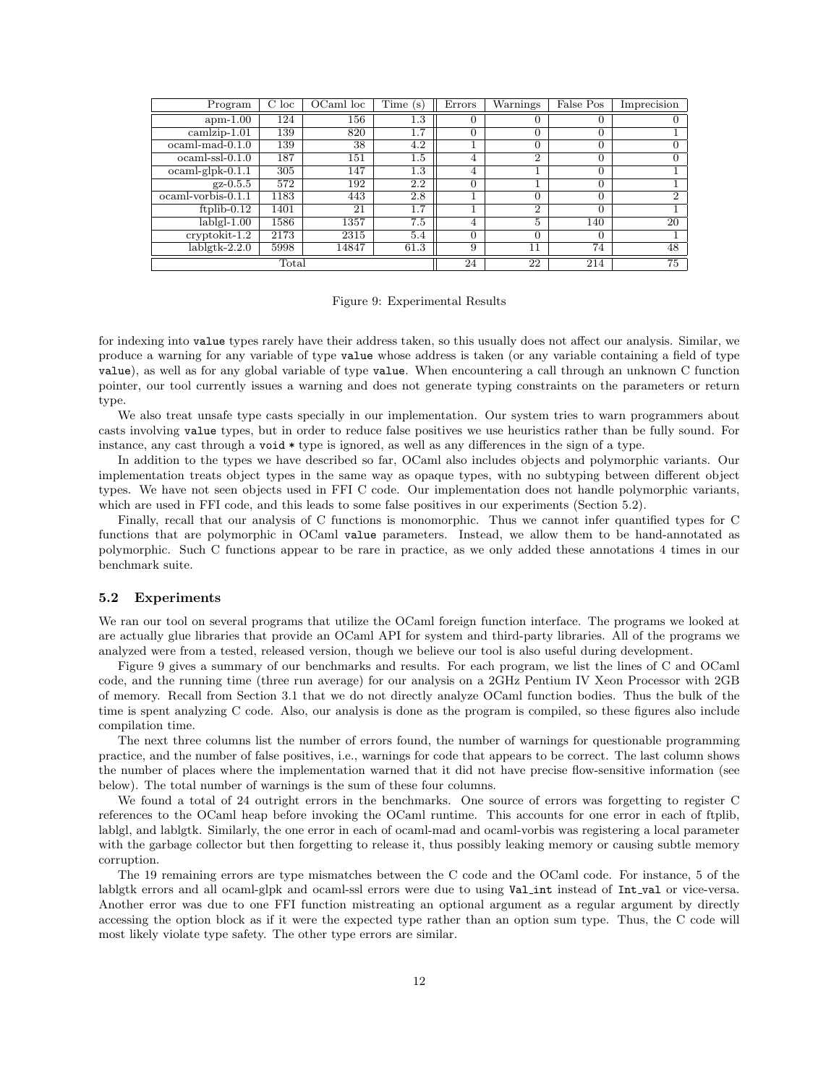| Program                  | C loc          | OCaml loc | Time(s) | Errors | Warnings       | False Pos | Imprecision    |
|--------------------------|----------------|-----------|---------|--------|----------------|-----------|----------------|
| $apm-1.00$               | 124            | 156       | 1.3     | 0      | 0              | 0         |                |
| $camlzip-1.01$           | 139            | 820       | 1.7     | 0      | 0              | 0         |                |
| $ocaml$ -mad- $0.1.0$    | 139            | 38        | 4.2     |        | $\Omega$       | $\Omega$  | 0              |
| $ocaml-ssl-0.1.0$        | 187            | 151       | $1.5\,$ | 4      | $\overline{2}$ | $\Omega$  | 0              |
| $ocaml$ -glpk- $0.1.1$   | 305            | 147       | 1.3     | 4      | T              | 0         |                |
| $gz - 0.5.5$             | 572            | 192       | 2.2     | 0      |                | $\Omega$  |                |
| $ocaml$ -vorbis- $0.1.1$ | 1183           | 443       | 2.8     |        | $\Omega$       | 0         | $\mathfrak{D}$ |
| ftplib- $0.12$           | 1401           | 21        | 1.7     |        | $\overline{2}$ | $\Omega$  |                |
| $lablgl-1.00$            | 1586           | 1357      | 7.5     | 4      | 5              | 140       | 20             |
| $cryptokit-1.2$          | 2173           | 2315      | 5.4     | 0      | $\Omega$       | 0         |                |
| $lablgtk-2.2.0$          | 5998           | 14847     | 61.3    | 9      | 11             | 74        | 48             |
|                          | $_{\rm Total}$ |           |         | 24     | 22             | 214       | 75             |

Figure 9: Experimental Results

for indexing into value types rarely have their address taken, so this usually does not affect our analysis. Similar, we produce a warning for any variable of type value whose address is taken (or any variable containing a field of type value), as well as for any global variable of type value. When encountering a call through an unknown C function pointer, our tool currently issues a warning and does not generate typing constraints on the parameters or return type.

We also treat unsafe type casts specially in our implementation. Our system tries to warn programmers about casts involving value types, but in order to reduce false positives we use heuristics rather than be fully sound. For instance, any cast through a void \* type is ignored, as well as any differences in the sign of a type.

In addition to the types we have described so far, OCaml also includes objects and polymorphic variants. Our implementation treats object types in the same way as opaque types, with no subtyping between different object types. We have not seen objects used in FFI C code. Our implementation does not handle polymorphic variants, which are used in FFI code, and this leads to some false positives in our experiments (Section 5.2).

Finally, recall that our analysis of C functions is monomorphic. Thus we cannot infer quantified types for C functions that are polymorphic in OCaml value parameters. Instead, we allow them to be hand-annotated as polymorphic. Such C functions appear to be rare in practice, as we only added these annotations 4 times in our benchmark suite.

#### 5.2 Experiments

We ran our tool on several programs that utilize the OCaml foreign function interface. The programs we looked at are actually glue libraries that provide an OCaml API for system and third-party libraries. All of the programs we analyzed were from a tested, released version, though we believe our tool is also useful during development.

Figure 9 gives a summary of our benchmarks and results. For each program, we list the lines of C and OCaml code, and the running time (three run average) for our analysis on a 2GHz Pentium IV Xeon Processor with 2GB of memory. Recall from Section 3.1 that we do not directly analyze OCaml function bodies. Thus the bulk of the time is spent analyzing C code. Also, our analysis is done as the program is compiled, so these figures also include compilation time.

The next three columns list the number of errors found, the number of warnings for questionable programming practice, and the number of false positives, i.e., warnings for code that appears to be correct. The last column shows the number of places where the implementation warned that it did not have precise flow-sensitive information (see below). The total number of warnings is the sum of these four columns.

We found a total of 24 outright errors in the benchmarks. One source of errors was forgetting to register C references to the OCaml heap before invoking the OCaml runtime. This accounts for one error in each of ftplib, lablgl, and lablgtk. Similarly, the one error in each of ocaml-mad and ocaml-vorbis was registering a local parameter with the garbage collector but then forgetting to release it, thus possibly leaking memory or causing subtle memory corruption.

The 19 remaining errors are type mismatches between the C code and the OCaml code. For instance, 5 of the lablgtk errors and all ocaml-glpk and ocaml-ssl errors were due to using Valint instead of Int val or vice-versa. Another error was due to one FFI function mistreating an optional argument as a regular argument by directly accessing the option block as if it were the expected type rather than an option sum type. Thus, the C code will most likely violate type safety. The other type errors are similar.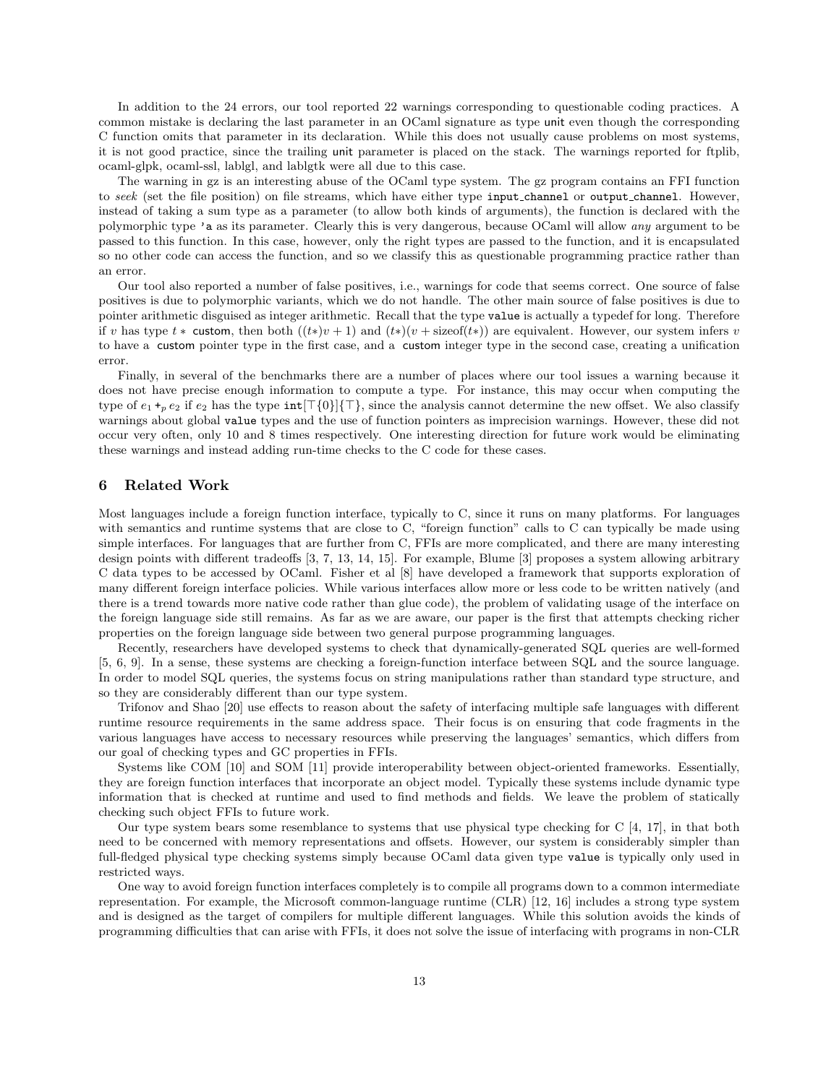In addition to the 24 errors, our tool reported 22 warnings corresponding to questionable coding practices. A common mistake is declaring the last parameter in an OCaml signature as type unit even though the corresponding C function omits that parameter in its declaration. While this does not usually cause problems on most systems, it is not good practice, since the trailing unit parameter is placed on the stack. The warnings reported for ftplib, ocaml-glpk, ocaml-ssl, lablgl, and lablgtk were all due to this case.

The warning in gz is an interesting abuse of the OCaml type system. The gz program contains an FFI function to seek (set the file position) on file streams, which have either type input\_channel or output\_channel. However, instead of taking a sum type as a parameter (to allow both kinds of arguments), the function is declared with the polymorphic type 'a as its parameter. Clearly this is very dangerous, because OCaml will allow any argument to be passed to this function. In this case, however, only the right types are passed to the function, and it is encapsulated so no other code can access the function, and so we classify this as questionable programming practice rather than an error.

Our tool also reported a number of false positives, i.e., warnings for code that seems correct. One source of false positives is due to polymorphic variants, which we do not handle. The other main source of false positives is due to pointer arithmetic disguised as integer arithmetic. Recall that the type value is actually a typedef for long. Therefore if v has type  $t *$  custom, then both  $((t*)v + 1)$  and  $(t*)v + \text{sizeof}(t*)$  are equivalent. However, our system infers v to have a custom pointer type in the first case, and a custom integer type in the second case, creating a unification error.

Finally, in several of the benchmarks there are a number of places where our tool issues a warning because it does not have precise enough information to compute a type. For instance, this may occur when computing the type of  $e_1 +_p e_2$  if  $e_2$  has the type  $int[\mathcal{T}{0}]{\mathcal{T}}$ , since the analysis cannot determine the new offset. We also classify warnings about global value types and the use of function pointers as imprecision warnings. However, these did not occur very often, only 10 and 8 times respectively. One interesting direction for future work would be eliminating these warnings and instead adding run-time checks to the C code for these cases.

# 6 Related Work

Most languages include a foreign function interface, typically to C, since it runs on many platforms. For languages with semantics and runtime systems that are close to C, "foreign function" calls to C can typically be made using simple interfaces. For languages that are further from C, FFIs are more complicated, and there are many interesting design points with different tradeoffs [3, 7, 13, 14, 15]. For example, Blume [3] proposes a system allowing arbitrary C data types to be accessed by OCaml. Fisher et al [8] have developed a framework that supports exploration of many different foreign interface policies. While various interfaces allow more or less code to be written natively (and there is a trend towards more native code rather than glue code), the problem of validating usage of the interface on the foreign language side still remains. As far as we are aware, our paper is the first that attempts checking richer properties on the foreign language side between two general purpose programming languages.

Recently, researchers have developed systems to check that dynamically-generated SQL queries are well-formed [5, 6, 9]. In a sense, these systems are checking a foreign-function interface between SQL and the source language. In order to model SQL queries, the systems focus on string manipulations rather than standard type structure, and so they are considerably different than our type system.

Trifonov and Shao [20] use effects to reason about the safety of interfacing multiple safe languages with different runtime resource requirements in the same address space. Their focus is on ensuring that code fragments in the various languages have access to necessary resources while preserving the languages' semantics, which differs from our goal of checking types and GC properties in FFIs.

Systems like COM [10] and SOM [11] provide interoperability between object-oriented frameworks. Essentially, they are foreign function interfaces that incorporate an object model. Typically these systems include dynamic type information that is checked at runtime and used to find methods and fields. We leave the problem of statically checking such object FFIs to future work.

Our type system bears some resemblance to systems that use physical type checking for C [4, 17], in that both need to be concerned with memory representations and offsets. However, our system is considerably simpler than full-fledged physical type checking systems simply because OCaml data given type value is typically only used in restricted ways.

One way to avoid foreign function interfaces completely is to compile all programs down to a common intermediate representation. For example, the Microsoft common-language runtime (CLR) [12, 16] includes a strong type system and is designed as the target of compilers for multiple different languages. While this solution avoids the kinds of programming difficulties that can arise with FFIs, it does not solve the issue of interfacing with programs in non-CLR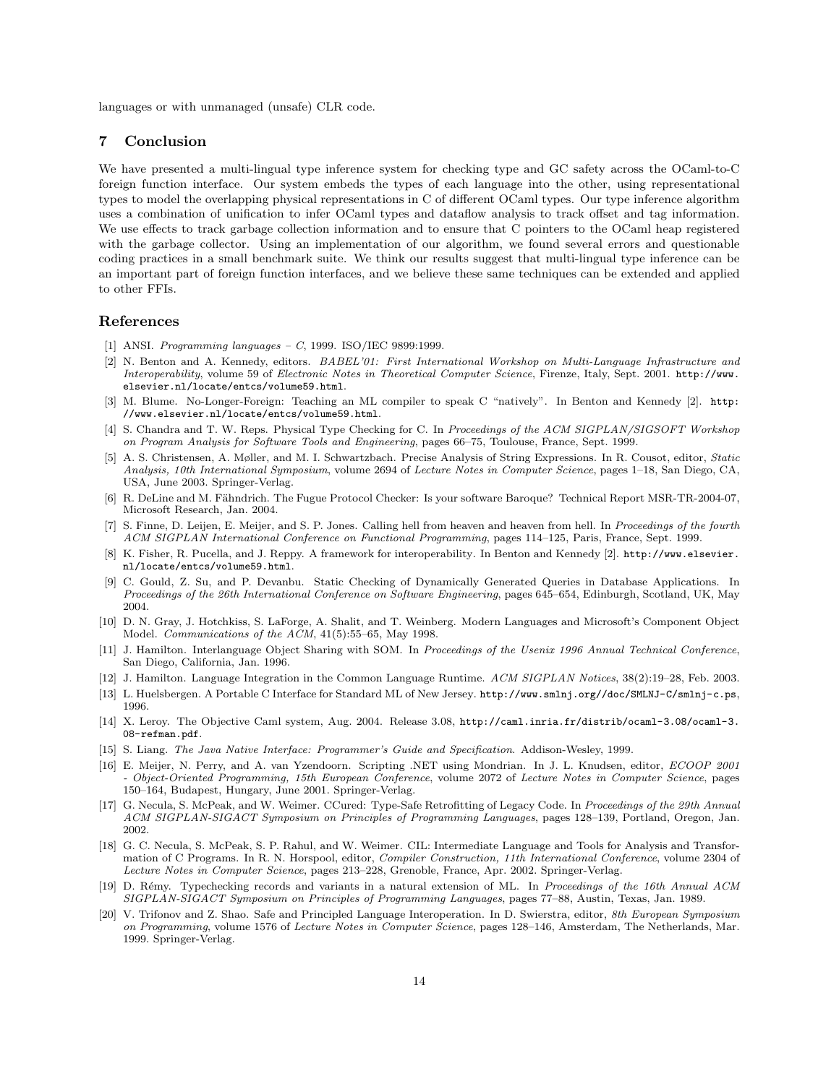languages or with unmanaged (unsafe) CLR code.

# 7 Conclusion

We have presented a multi-lingual type inference system for checking type and GC safety across the OCaml-to-C foreign function interface. Our system embeds the types of each language into the other, using representational types to model the overlapping physical representations in C of different OCaml types. Our type inference algorithm uses a combination of unification to infer OCaml types and dataflow analysis to track offset and tag information. We use effects to track garbage collection information and to ensure that C pointers to the OCaml heap registered with the garbage collector. Using an implementation of our algorithm, we found several errors and questionable coding practices in a small benchmark suite. We think our results suggest that multi-lingual type inference can be an important part of foreign function interfaces, and we believe these same techniques can be extended and applied to other FFIs.

# References

- [1] ANSI. *Programming languages C*, 1999. ISO/IEC 9899:1999.
- [2] N. Benton and A. Kennedy, editors. BABEL'01: First International Workshop on Multi-Language Infrastructure and Interoperability, volume 59 of Electronic Notes in Theoretical Computer Science, Firenze, Italy, Sept. 2001. http://www. elsevier.nl/locate/entcs/volume59.html.
- [3] M. Blume. No-Longer-Foreign: Teaching an ML compiler to speak C "natively". In Benton and Kennedy [2]. http: //www.elsevier.nl/locate/entcs/volume59.html.
- [4] S. Chandra and T. W. Reps. Physical Type Checking for C. In Proceedings of the ACM SIGPLAN/SIGSOFT Workshop on Program Analysis for Software Tools and Engineering, pages 66–75, Toulouse, France, Sept. 1999.
- [5] A. S. Christensen, A. Møller, and M. I. Schwartzbach. Precise Analysis of String Expressions. In R. Cousot, editor, Static Analysis, 10th International Symposium, volume 2694 of Lecture Notes in Computer Science, pages 1–18, San Diego, CA, USA, June 2003. Springer-Verlag.
- [6] R. DeLine and M. Fähndrich. The Fugue Protocol Checker: Is your software Baroque? Technical Report MSR-TR-2004-07, Microsoft Research, Jan. 2004.
- [7] S. Finne, D. Leijen, E. Meijer, and S. P. Jones. Calling hell from heaven and heaven from hell. In Proceedings of the fourth ACM SIGPLAN International Conference on Functional Programming, pages 114–125, Paris, France, Sept. 1999.
- [8] K. Fisher, R. Pucella, and J. Reppy. A framework for interoperability. In Benton and Kennedy [2]. http://www.elsevier. nl/locate/entcs/volume59.html.
- [9] C. Gould, Z. Su, and P. Devanbu. Static Checking of Dynamically Generated Queries in Database Applications. In Proceedings of the 26th International Conference on Software Engineering, pages 645–654, Edinburgh, Scotland, UK, May 2004.
- [10] D. N. Gray, J. Hotchkiss, S. LaForge, A. Shalit, and T. Weinberg. Modern Languages and Microsoft's Component Object Model. Communications of the ACM, 41(5):55–65, May 1998.
- [11] J. Hamilton. Interlanguage Object Sharing with SOM. In Proceedings of the Usenix 1996 Annual Technical Conference, San Diego, California, Jan. 1996.
- [12] J. Hamilton. Language Integration in the Common Language Runtime. ACM SIGPLAN Notices, 38(2):19–28, Feb. 2003.
- [13] L. Huelsbergen. A Portable C Interface for Standard ML of New Jersey. http://www.smlnj.org//doc/SMLNJ-C/smlnj-c.ps, 1996.
- [14] X. Leroy. The Objective Caml system, Aug. 2004. Release 3.08, http://caml.inria.fr/distrib/ocaml-3.08/ocaml-3. 08-refman.pdf.
- [15] S. Liang. The Java Native Interface: Programmer's Guide and Specification. Addison-Wesley, 1999.
- [16] E. Meijer, N. Perry, and A. van Yzendoorn. Scripting .NET using Mondrian. In J. L. Knudsen, editor, ECOOP 2001 - Object-Oriented Programming, 15th European Conference, volume 2072 of Lecture Notes in Computer Science, pages 150–164, Budapest, Hungary, June 2001. Springer-Verlag.
- [17] G. Necula, S. McPeak, and W. Weimer. CCured: Type-Safe Retrofitting of Legacy Code. In Proceedings of the 29th Annual ACM SIGPLAN-SIGACT Symposium on Principles of Programming Languages, pages 128–139, Portland, Oregon, Jan. 2002.
- [18] G. C. Necula, S. McPeak, S. P. Rahul, and W. Weimer. CIL: Intermediate Language and Tools for Analysis and Transformation of C Programs. In R. N. Horspool, editor, Compiler Construction, 11th International Conference, volume 2304 of Lecture Notes in Computer Science, pages 213–228, Grenoble, France, Apr. 2002. Springer-Verlag.
- [19] D. R´emy. Typechecking records and variants in a natural extension of ML. In Proceedings of the 16th Annual ACM SIGPLAN-SIGACT Symposium on Principles of Programming Languages, pages 77–88, Austin, Texas, Jan. 1989.
- [20] V. Trifonov and Z. Shao. Safe and Principled Language Interoperation. In D. Swierstra, editor, 8th European Symposium on Programming, volume 1576 of Lecture Notes in Computer Science, pages 128–146, Amsterdam, The Netherlands, Mar. 1999. Springer-Verlag.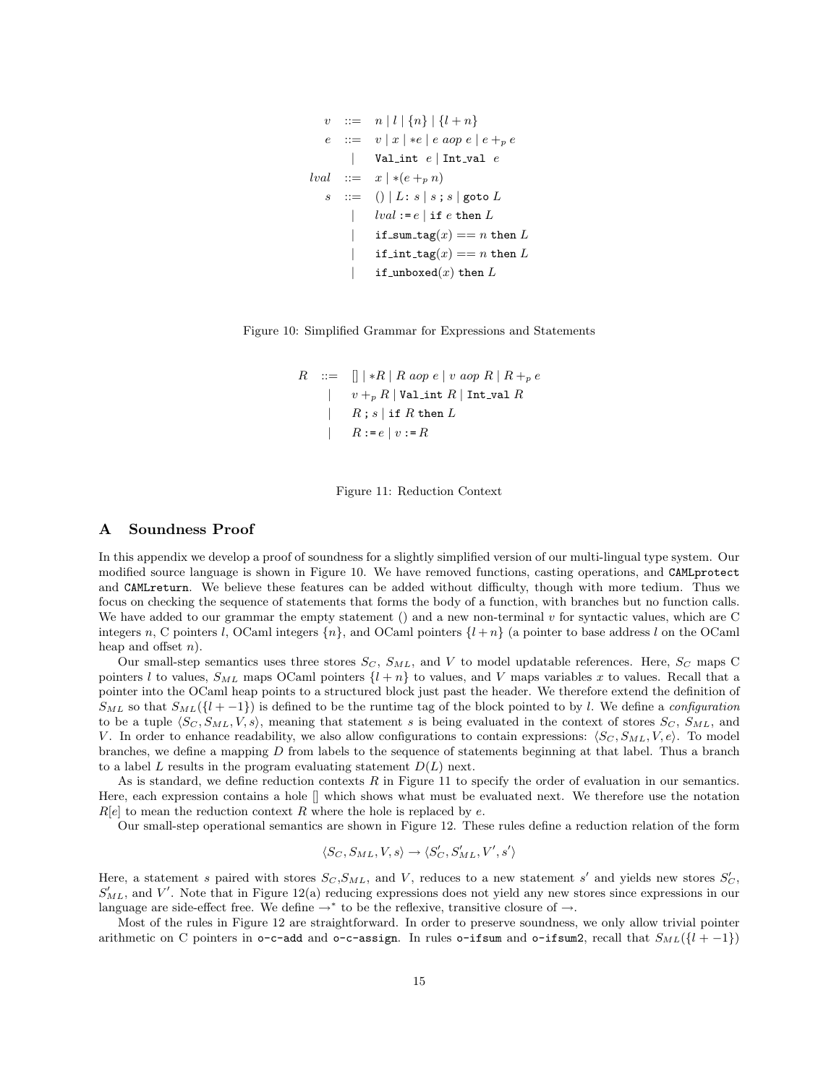```
v := n | l | \{n\} | \{l + n\}::= v | x | *e | e a op e | e + p e| Val_int e | Int_val elval ::= x \mid *(e +_p n)s : = () | L: s | s; s | goto L
       | lval := e | if e then Lif sum \text{tag}(x) == n then L
            if int \text{tag}(x) == n then L
            if unboxed(x) then L
```


$$
R \quad ::= \quad [] \mid *R \mid R \text{ aop } e \mid v \text{ aop } R \mid R +_p e
$$
\n
$$
\mid \quad v +_p R \mid \text{Val-int } R \mid \text{Int_val } R
$$
\n
$$
\mid \quad R \text{ ; } s \mid \text{ if } R \text{ then } L
$$
\n
$$
\mid \quad R := e \mid v := R
$$

Figure 11: Reduction Context

## A Soundness Proof

In this appendix we develop a proof of soundness for a slightly simplified version of our multi-lingual type system. Our modified source language is shown in Figure 10. We have removed functions, casting operations, and CAMLprotect and CAMLreturn. We believe these features can be added without difficulty, though with more tedium. Thus we focus on checking the sequence of statements that forms the body of a function, with branches but no function calls. We have added to our grammar the empty statement () and a new non-terminal v for syntactic values, which are C integers n, C pointers l, OCaml integers  $\{n\}$ , and OCaml pointers  $\{l + n\}$  (a pointer to base address l on the OCaml heap and offset  $n$ ).

Our small-step semantics uses three stores  $S_C$ ,  $S_{ML}$ , and V to model updatable references. Here,  $S_C$  maps C pointers l to values,  $S_{ML}$  maps OCaml pointers  $\{l + n\}$  to values, and V maps variables x to values. Recall that a pointer into the OCaml heap points to a structured block just past the header. We therefore extend the definition of  $S_{ML}$  so that  $S_{ML}({l + -1})$  is defined to be the runtime tag of the block pointed to by l. We define a configuration to be a tuple  $\langle S_C, S_{ML}, V, s \rangle$ , meaning that statement s is being evaluated in the context of stores  $S_C, S_{ML}$ , and V. In order to enhance readability, we also allow configurations to contain expressions:  $\langle S_C, S_{ML}, V, e \rangle$ . To model branches, we define a mapping D from labels to the sequence of statements beginning at that label. Thus a branch to a label L results in the program evaluating statement  $D(L)$  next.

As is standard, we define reduction contexts  $R$  in Figure 11 to specify the order of evaluation in our semantics. Here, each expression contains a hole [] which shows what must be evaluated next. We therefore use the notation  $R[e]$  to mean the reduction context R where the hole is replaced by e.

Our small-step operational semantics are shown in Figure 12. These rules define a reduction relation of the form

$$
\langle S_C, S_{ML}, V, s \rangle \rightarrow \langle S_C', S_{ML}', V', s' \rangle
$$

Here, a statement s paired with stores  $S_C, S_{ML}$ , and V, reduces to a new statement s' and yields new stores  $S_C'$ ,  $S'_{ML}$ , and V'. Note that in Figure 12(a) reducing expressions does not yield any new stores since expressions in our language are side-effect free. We define  $\rightarrow^*$  to be the reflexive, transitive closure of  $\rightarrow$ .

Most of the rules in Figure 12 are straightforward. In order to preserve soundness, we only allow trivial pointer arithmetic on C pointers in  $\circ$ -c-add and  $\circ$ -c-assign. In rules  $\circ$ -ifsum and  $\circ$ -ifsum2, recall that  $S_{ML}(\{l + -1\})$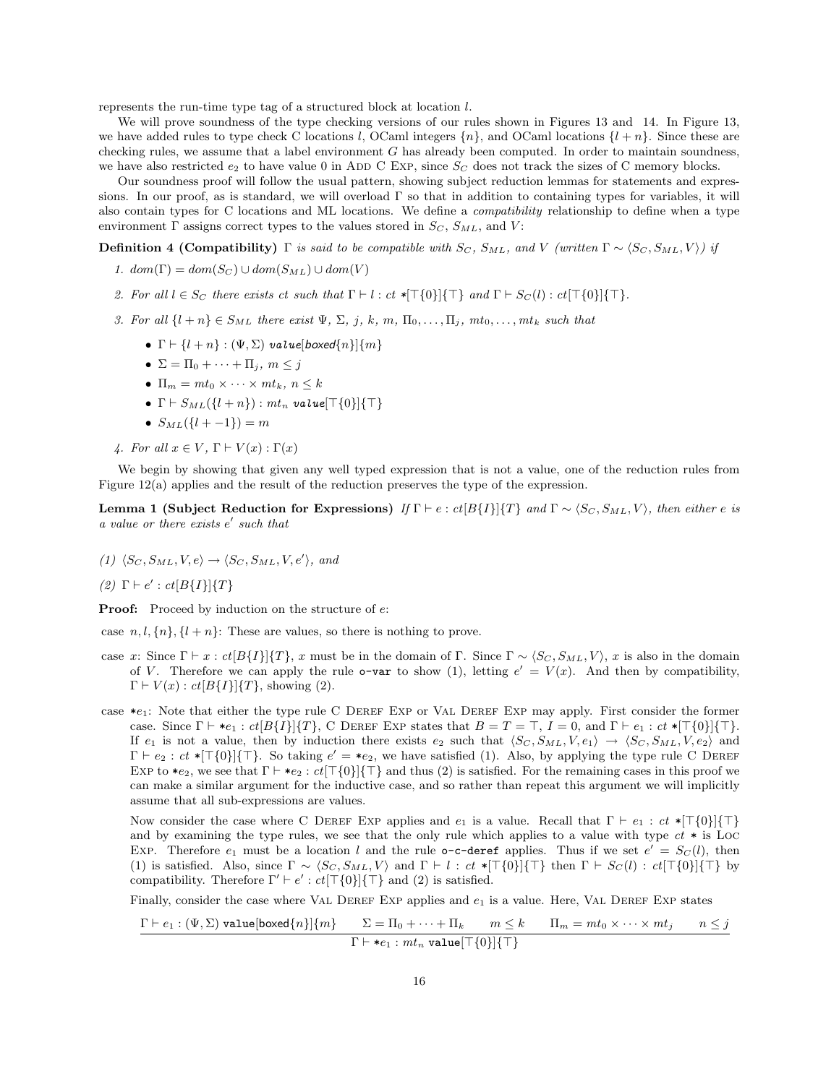represents the run-time type tag of a structured block at location l.

We will prove soundness of the type checking versions of our rules shown in Figures 13 and 14. In Figure 13, we have added rules to type check C locations l, OCaml integers  $\{n\}$ , and OCaml locations  $\{l + n\}$ . Since these are checking rules, we assume that a label environment  $G$  has already been computed. In order to maintain soundness, we have also restricted  $e_2$  to have value 0 in ADD C Exp, since  $S_C$  does not track the sizes of C memory blocks.

Our soundness proof will follow the usual pattern, showing subject reduction lemmas for statements and expressions. In our proof, as is standard, we will overload Γ so that in addition to containing types for variables, it will also contain types for C locations and ML locations. We define a compatibility relationship to define when a type environment  $\Gamma$  assigns correct types to the values stored in  $S_C$ ,  $S_{ML}$ , and  $V$ :

**Definition 4 (Compatibility)** Γ is said to be compatible with  $S_C$ ,  $S_{ML}$ , and V (written  $\Gamma \sim \langle S_C, S_{ML}, V \rangle$ ) if

- 1.  $dom(\Gamma) = dom(S_C) \cup dom(S_{ML}) \cup dom(V)$
- 2. For all  $l \in S_C$  there exists ct such that  $\Gamma \vdash l : ct$  \* $\lceil \lceil 0 \rceil \lceil \lceil \rceil$  and  $\Gamma \vdash S_C(l) : ct \lceil \lceil 0 \rceil \lceil \lceil \lceil \cdot \rceil$ .
- 3. For all  $\{l + n\} \in S_{ML}$  there exist  $\Psi$ ,  $\Sigma$ , j, k, m,  $\Pi_0, \ldots, \Pi_i$ ,  $mt_0, \ldots, mt_k$  such that
	- $\Gamma \vdash \{l + n\} : (\Psi, \Sigma)$  value[boxed{n}]{m}
	- $\Sigma = \Pi_0 + \cdots + \Pi_j, m \leq j$
	- $\Pi_m = m t_0 \times \cdots \times m t_k, n \leq k$
	- $\Gamma \vdash S_{ML}(\{l + n\}) : mt_n$  value $[\top \{0\}]\{\top\}$
	- $S_{ML}({l + -1}) = m$
- 4. For all  $x \in V$ ,  $\Gamma \vdash V(x) : \Gamma(x)$

We begin by showing that given any well typed expression that is not a value, one of the reduction rules from Figure 12(a) applies and the result of the reduction preserves the type of the expression.

Lemma 1 (Subject Reduction for Expressions) If  $\Gamma \vdash e : ct[B\{I\}]\{T\}$  and  $\Gamma \sim \langle S_C, S_{ML}, V \rangle$ , then either e is a value or there exists  $e'$  such that

 $(1)$   $\langle S_C, S_{ML}, V, e \rangle \rightarrow \langle S_C, S_{ML}, V, e' \rangle$ , and

(2)  $\Gamma \vdash e' : ct[B\{I\}]\{T\}$ 

**Proof:** Proceed by induction on the structure of  $e$ :

case  $n, l, \{n\}, \{l + n\}$ : These are values, so there is nothing to prove.

- case x: Since  $\Gamma \vdash x : ct[B\{I\}]\{T\}$ , x must be in the domain of Γ. Since  $\Gamma \sim \langle S_C, S_{ML}, V \rangle$ , x is also in the domain of V. Therefore we can apply the rule o-var to show (1), letting  $e' = V(x)$ . And then by compatibility,  $\Gamma \vdash V(x) : ct[B\{I\}|\{T\},\$  showing (2).
- case  $*_1$ : Note that either the type rule C DEREF EXP or VAL DEREF EXP may apply. First consider the former case. Since  $\Gamma \vdash *e_1 : ct[B\{I\}]\{T\}$ , C DEREF EXP states that  $B = T = \top$ ,  $I = 0$ , and  $\Gamma \vdash e_1 : ct *[\top\{0\}]\{\top\}$ . If  $e_1$  is not a value, then by induction there exists  $e_2$  such that  $\langle S_C, S_{ML}, V, e_1 \rangle \rightarrow \langle S_C, S_{ML}, V, e_2 \rangle$  and  $\Gamma \vdash e_2 : ct *[\top\{0\}]\{\top\}.$  So taking  $e' = *e_2$ , we have satisfied (1). Also, by applying the type rule C DEREF EXP to  $*_2$ , we see that  $\Gamma \vdash *_2 : ct[\top{0}]\{\top\}$  and thus (2) is satisfied. For the remaining cases in this proof we can make a similar argument for the inductive case, and so rather than repeat this argument we will implicitly assume that all sub-expressions are values.

Now consider the case where C DEREF EXP applies and  $e_1$  is a value. Recall that  $\Gamma \vdash e_1 : ct *[\top\{0\}]\{\top\}$ and by examining the type rules, we see that the only rule which applies to a value with type  $ct *$  is Loc EXP. Therefore  $e_1$  must be a location l and the rule **o-c-deref** applies. Thus if we set  $e' = S_C(l)$ , then (1) is satisfied. Also, since  $\Gamma \sim \langle S_C, S_{ML}, V \rangle$  and  $\Gamma \vdash l : ct *[\top\{0\}]\{\top\}$  then  $\Gamma \vdash S_C(l) : ct[\top\{0\}]\{\top\}$  by compatibility. Therefore  $\Gamma' \vdash e' : ct[\top\{0\}]\{\top\}$  and (2) is satisfied.

Finally, consider the case where VAL DEREF EXP applies and  $e_1$  is a value. Here, VAL DEREF EXP states

$$
\frac{\Gamma \vdash e_1 : (\Psi, \Sigma) \text{ value}[{\sf boxed}\{n\}]\{m\}}{\Gamma \vdash *e_1 : mt_n \text{ value}[\top\{0\}]\{\top\}}
$$
\n
$$
n \leq k \qquad \Pi_m = mt_0 \times \dots \times mt_j \qquad n \leq j
$$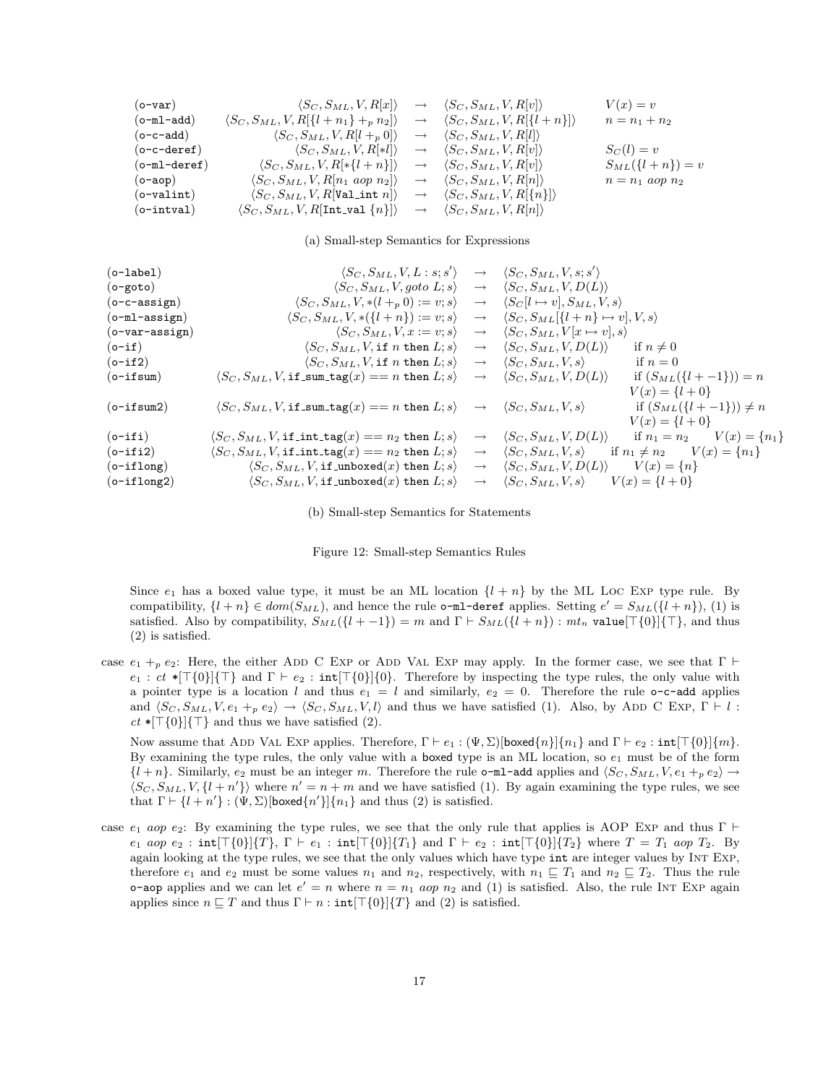$$
\begin{array}{llllll} \text{(o-var)} & \langle S_C, S_{ML}, V, R[x] \rangle & \rightarrow & \langle S_C, S_{ML}, V, R[v] \rangle & V(x) = v \\ \text{(o-m1-add)} & \langle S_C, S_{ML}, V, R[\{l+n_1\}+_{p}n_2] \rangle & \rightarrow & \langle S_C, S_{ML}, V, R[\{l+n\}]\rangle & n = n_1 + n_2 \\ \text{(o-c-add)} & \langle S_C, S_{ML}, V, R[l+p 0] \rangle & \rightarrow & \langle S_C, S_{ML}, V, R[l] \rangle & n = n_1 + n_2 \\ \text{(o-c-deret)} & \langle S_C, S_{ML}, V, R[*1] \rangle & \rightarrow & \langle S_C, S_{ML}, V, R[v] \rangle & S_C(l) = v \\ \text{(o-m1-deret)} & \langle S_C, S_{ML}, V, R[*\{l+n\}]\rangle & \rightarrow & \langle S_C, S_{ML}, V, R[v] \rangle & S_{ML}(\{l+n\}) = v \\ \text{(o-ap)} & \langle S_C, S_{ML}, V, R[n_1 \text{ aop } n_2] \rangle & \rightarrow & \langle S_C, S_{ML}, V, R[n] \rangle & n = n_1 \text{ aop } n_2 \\ \text{(o-valint)} & \langle S_C, S_{ML}, V, R[\text{Val-int } n] \rangle & \rightarrow & \langle S_C, S_{ML}, V, R[n] \rangle & n = n_1 \text{ aop } n_2 \\ \text{(o-intval)} & \langle S_C, S_{ML}, V, R[\text{Int-val } \{n\}]\rangle & \rightarrow & \langle S_C, S_{ML}, V, R[n] \rangle \end{array}
$$

(a) Small-step Semantics for Expressions

| $(o$ -label $)$      | $\langle S_C, S_{ML}, V, L: s; s' \rangle$                                           |                   | $\rightarrow \langle S_C, S_{ML}, V, s; s' \rangle$                               |
|----------------------|--------------------------------------------------------------------------------------|-------------------|-----------------------------------------------------------------------------------|
| $($ o-goto $)$       | $\langle S_C, S_{ML}, V, go to L; s \rangle$                                         |                   | $\rightarrow \langle S_C, S_{ML}, V, D(L) \rangle$                                |
| $(o-c-assign)$       | $\langle S_C, S_{ML}, V, * (l +_p 0) := v; s \rangle$                                | $\longrightarrow$ | $\langle S_C[l \mapsto v], S_{ML}, V, s \rangle$                                  |
| $(o-m1-assign)$      | $\langle S_C, S_{ML}, V, *(\lbrace l+n \rbrace) := v; s \rangle$                     | $\longrightarrow$ | $\langle S_C, S_{ML}[\{l+n\} \mapsto v], V, s \rangle$                            |
| $(o$ -var-assign $)$ | $\langle S_C, S_{ML}, V, x := v; s \rangle$                                          |                   | $\rightarrow \langle S_C, S_{ML}, V[x \mapsto v], s \rangle$                      |
| $(o-if)$             | $\langle S_C, S_{ML}, V$ , if <i>n</i> then $L; s \rangle$                           | $\longrightarrow$ | $\langle S_C, S_{ML}, V, D(L) \rangle$<br>if $n \neq 0$                           |
| $(o-if2)$            | $\langle S_C, S_{ML}, V$ , if n then $L; s \rangle$                                  | $\longrightarrow$ | $\langle S_C, S_{ML}, V, s \rangle$<br>if $n=0$                                   |
| $(o-ifsum)$          | $\langle S_C, S_{ML}, V, \texttt{if\_sum\_tag}(x) == n \texttt{ then } L; s \rangle$ | $\longrightarrow$ | $\langle S_C, S_{ML}, V, D(L) \rangle$<br>if $(S_{ML}(\{l + -1\})) = n$           |
|                      |                                                                                      |                   | $V(x) = \{l+0\}$                                                                  |
| $(o-ifsum2)$         | $\langle S_C, S_{ML}, V, \texttt{if\_sum\_tag}(x) == n \texttt{ then } L; s \rangle$ |                   | if $(S_{ML}({l + -1}) \neq n)$<br>$\rightarrow \langle S_C, S_{ML}, V, s \rangle$ |
|                      |                                                                                      |                   | $V(x) = \{l + 0\}$                                                                |
| $(o-ifi)$            | $\langle S_C, S_{ML}, V, \texttt{if-int-tag}(x) == n_2 \texttt{ then } L; s \rangle$ | $\longrightarrow$ | if $n_1 = n_2$ $V(x) = \{n_1\}$<br>$\langle S_C, S_{ML}, V, D(L) \rangle$         |
| $(o-ifi2)$           | $\langle S_C, S_{ML}, V, \texttt{if-int-tag}(x) == n_2 \texttt{ then } L; s \rangle$ | $\longrightarrow$ | if $n_1 \neq n_2$ $V(x) = \{n_1\}$<br>$\langle S_C, S_{ML}, V, s \rangle$         |
| $(o-iflong)$         | $\langle S_C, S_{ML}, V, \text{if\_unboxed}(x) \text{ then } L; s \rangle$           | $\longrightarrow$ | $\langle S_C, S_{ML}, V, D(L) \rangle$<br>$V(x) = \{n\}$                          |
| $(o-iflong2)$        | $\langle S_C, S_{ML}, V, \text{if\_unboxed}(x) \text{ then } L; s \rangle$           | $\longrightarrow$ | $V(x) = \{l+0\}$<br>$\langle S_C, S_{ML}, V, s \rangle$                           |

(b) Small-step Semantics for Statements



Since  $e_1$  has a boxed value type, it must be an ML location  $\{l + n\}$  by the ML Loc Exp type rule. By compatibility,  $\{l + n\} \in dom(S_{ML})$ , and hence the rule **o-ml-deref** applies. Setting  $e' = S_{ML}(\{l + n\})$ , (1) is satisfied. Also by compatibility,  $S_{ML}({l + -1}) = m$  and  $\Gamma \vdash S_{ML}({l + n})$ :  $mt_n$  value[ $\top{0}$ ]{ $\top$ }, and thus (2) is satisfied.

case  $e_1 +_p e_2$ : Here, the either ADD C Exp or ADD VAL Exp may apply. In the former case, we see that Γ  $\vdash$  $e_1 : ct *[\top{0}] {\top}$  and  $\Gamma \vdash e_2 : int[\top{0}] {\{0\}}$ . Therefore by inspecting the type rules, the only value with a pointer type is a location l and thus  $e_1 = l$  and similarly,  $e_2 = 0$ . Therefore the rule o-c-add applies and  $\langle S_C, S_{ML}, V, e_1 +_p e_2 \rangle \rightarrow \langle S_C, S_{ML}, V, l \rangle$  and thus we have satisfied (1). Also, by ADD C Exp,  $\Gamma \vdash l$ :  $ct *[T{0}]$ { $T$ } and thus we have satisfied (2).

Now assume that ADD VAL EXP applies. Therefore,  $\Gamma \vdash e_1 : (\Psi, \Sigma)$ [boxed $\{n\}\$  $\{n_1\}$  and  $\Gamma \vdash e_2 : \text{int}[\top\{0\}]\{m\}$ . By examining the type rules, the only value with a boxed type is an ML location, so  $e_1$  must be of the form  ${l + n}$ . Similarly,  $e_2$  must be an integer m. Therefore the rule **o-ml-add** applies and  $\langle Sc, S_{ML}, V, e_1 +_p e_2 \rangle \rightarrow$  $\langle S_C, S_{ML}, V, \{l + n'\}\rangle$  where  $n' = n + m$  and we have satisfied (1). By again examining the type rules, we see that  $\Gamma \vdash \{l + n'\} : (\Psi, \Sigma)$ [boxed $\{n'\}$ ] $\{n_1\}$  and thus (2) is satisfied.

case  $e_1$  aop  $e_2$ : By examining the type rules, we see that the only rule that applies is AOP Exp and thus Γ  $\vdash$  $e_1$  aop  $e_2$ : int $[\mathcal{T}{0}]\{T\}$ ,  $\Gamma \vdash e_1$ : int $[\mathcal{T}{0}]\{T_1\}$  and  $\Gamma \vdash e_2$ : int $[\mathcal{T}{0}]\{T_2\}$  where  $T = T_1$  aop  $T_2$ . By again looking at the type rules, we see that the only values which have type int are integer values by Int Exp, therefore  $e_1$  and  $e_2$  must be some values  $n_1$  and  $n_2$ , respectively, with  $n_1 \sqsubseteq T_1$  and  $n_2 \sqsubseteq T_2$ . Thus the rule **o-aop** applies and we can let  $e' = n$  where  $n = n_1$  aop  $n_2$  and (1) is satisfied. Also, the rule INT EXP again applies since  $n \sqsubseteq T$  and thus  $\Gamma \vdash n : \text{int}[\top\{0\}]\{T\}$  and (2) is satisfied.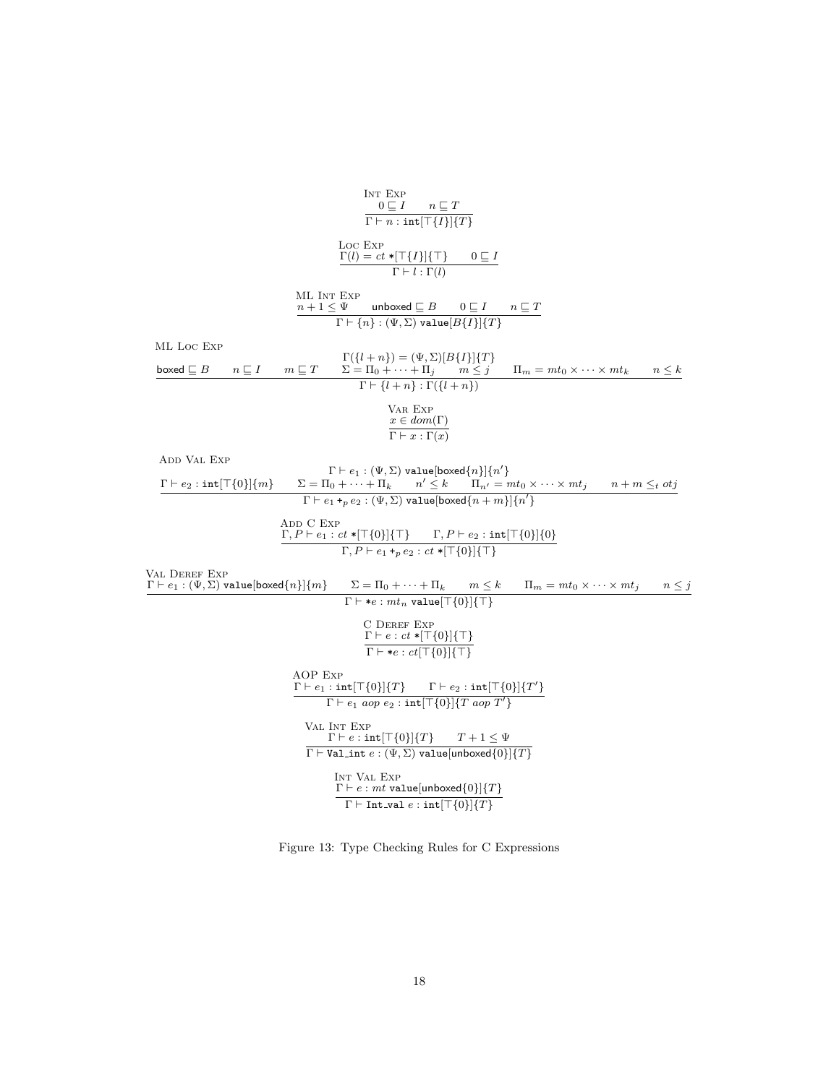$$
\frac{\ln \text{Exp}}{\ln \text{F}} = \frac{\ln \text{Exp}}{\ln \text{F}} = \frac{\ln \text{Exp}}{\ln \text{F}} = \frac{\ln \text{Exp}}{\ln \text{F}} = \frac{\ln \text{Exp}}{\ln \text{F}} = \frac{\ln \text{Exp}}{\ln \text{F}} = \frac{\ln \text{Exp}}{\ln \text{F}} = \frac{\ln \text{Exp}}{\ln \text{F}} = \frac{\ln \text{Exp}}{\ln \text{F}} = \frac{\ln \text{Exp}}{\ln \text{F}} = \frac{\ln \text{Exp}}{\ln \text{F}} = \frac{\ln \text{Exp}}{\ln \text{F}} = \frac{\ln \text{Exp}}{\ln \text{F}} = \frac{\ln \text{Exp}}{\ln \text{F}} = \frac{\ln \text{Exp}}{\ln \text{F}} = \frac{\ln \text{Exp}}{\ln \text{F}} = \frac{\ln \text{Exp}}{\ln \text{F}} = \frac{\ln \text{Exp}}{\ln \text{F}} = \frac{\ln \text{Exp}}{\ln \text{F}} = \frac{\ln \text{Exp}}{\ln \text{F}} = \frac{\ln \text{Exp}}{\ln \text{F}} = \frac{\ln \text{Exp}}{\ln \text{F}} = \frac{\ln \text{Exp}}{\ln \text{F}} = \frac{\ln \text{Exp}}{\ln \text{F}} = \frac{\ln \text{Exp}}{\ln \text{F}} = \frac{\ln \text{Exp}}{\ln \text{F}} = \frac{\ln \text{Exp}}{\ln \text{F}} = \frac{\ln \text{Exp}}{\ln \text{F}} = \frac{\ln \text{Exp}}{\ln \text{F}} = \frac{\ln \text{Exp}}{\ln \text{F}} = \frac{\ln \text{Exp}}{\ln \text{F}} = \frac{\ln \text{Exp}}{\ln \text{F}} = \frac{\ln \text{Exp}}{\ln \text{F}} = \frac{\ln \text{Exp}}{\ln \text{F}} = \frac{\ln \text{Exp}}{\ln \text{F}} = \frac{\ln \text{Exp}}{\ln \text{F}} = \frac{\ln \text{Exp}}{\ln \text{F}} = \frac{\ln \text{Exp}}{\ln \text{F}} = \frac{\ln \text{Exp}}{\ln \text{F}} = \frac{\ln \text{Exp}}{\ln \text{F}} = \frac{\ln \text{Exp}}{\ln \text{F}} = \frac{\ln \text{Exp}}{\ln \text{F}} = \frac{\ln \text{Exp}}{\ln \text{F}} = \frac{\ln \text{Exp}}{\ln \text{F}} = \frac{\ln \text{Exp}}{\ln
$$

Figure 13: Type Checking Rules for C Expressions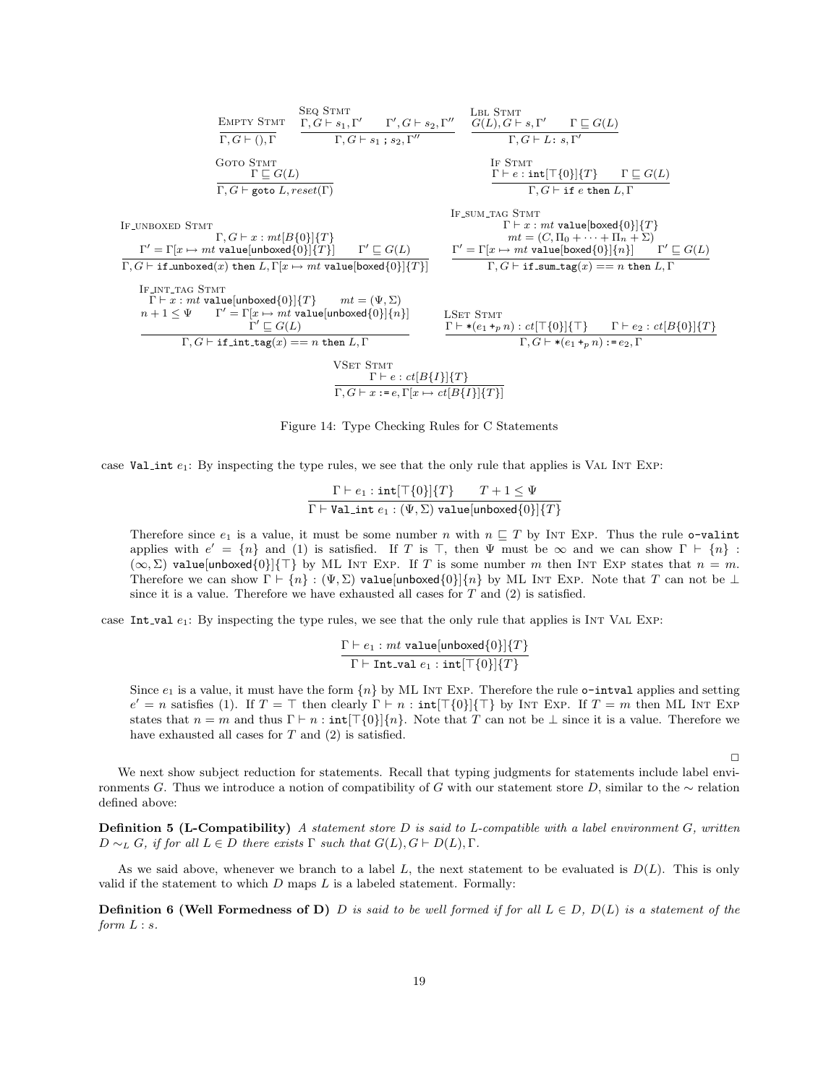

Figure 14: Type Checking Rules for C Statements

case Val int  $e_1$ : By inspecting the type rules, we see that the only rule that applies is VAL INT EXP:

 $\Gamma \vdash e_1 : \texttt{int}[\top \{0\}]\{T\} \qquad T+1 \leq \Psi$  $\Gamma \vdash \mathtt{Val\_int}\; e_1 : (\Psi, \Sigma)$  value[unboxed $\{0\}]\{T\}$ 

Therefore since  $e_1$  is a value, it must be some number n with  $n \sqsubseteq T$  by INT EXP. Thus the rule o-valint applies with  $e' = \{n\}$  and (1) is satisfied. If T is T, then  $\Psi$  must be  $\infty$  and we can show  $\Gamma \vdash \{n\}$ :  $(\infty, \Sigma)$  value[unboxed{0}]{ $\top$ } by ML INT EXP. If T is some number m then INT EXP states that  $n = m$ . Therefore we can show  $\Gamma \vdash \{n\} : (\Psi, \Sigma)$  value[unboxed{0}]{n} by ML INT EXP. Note that T can not be  $\bot$ since it is a value. Therefore we have exhausted all cases for  $T$  and  $(2)$  is satisfied.

case Int val  $e_1$ : By inspecting the type rules, we see that the only rule that applies is INT VAL Exp:

$$
\frac{\Gamma \vdash e_1 : mt \text{ value}[unboxed{0}]{T}}{\Gamma \vdash \text{Int\_val } e_1 : \text{int}[\top\{0\}]{T}
$$

Since  $e_1$  is a value, it must have the form  $\{n\}$  by ML INT EXP. Therefore the rule **o-intval** applies and setting  $e' = n$  satisfies (1). If  $T = \top$  then clearly  $\Gamma \vdash n : \text{int}[\top\{0\}]\{\top\}$  by INT EXP. If  $T = m$  then ML INT EXP states that  $n = m$  and thus  $\Gamma \vdash n : \text{int}[\top\{0\}]\{n\}$ . Note that T can not be  $\bot$  since it is a value. Therefore we have exhausted all cases for  $T$  and  $(2)$  is satisfied.

 $\Box$ 

We next show subject reduction for statements. Recall that typing judgments for statements include label environments G. Thus we introduce a notion of compatibility of G with our statement store D, similar to the  $\sim$  relation defined above:

**Definition 5 (L-Compatibility)** A statement store  $D$  is said to L-compatible with a label environment  $G$ , written  $D \sim_L G$ , if for all  $L \in D$  there exists  $\Gamma$  such that  $G(L), G \vdash D(L), \Gamma$ .

As we said above, whenever we branch to a label L, the next statement to be evaluated is  $D(L)$ . This is only valid if the statement to which  $D$  maps  $L$  is a labeled statement. Formally:

**Definition 6 (Well Formedness of D)** D is said to be well formed if for all  $L \in D$ ,  $D(L)$  is a statement of the form  $L : s$ .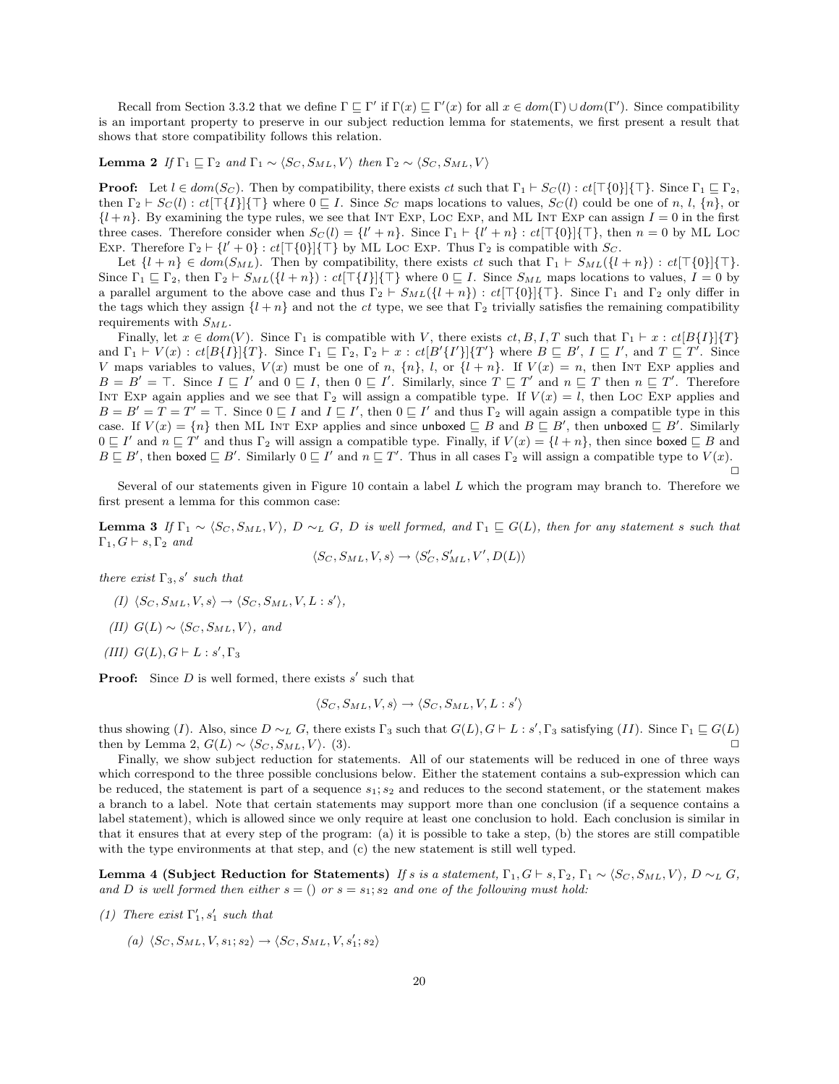Recall from Section 3.3.2 that we define  $\Gamma \subseteq \Gamma'$  if  $\Gamma(x) \subseteq \Gamma'(x)$  for all  $x \in dom(\Gamma) \cup dom(\Gamma')$ . Since compatibility is an important property to preserve in our subject reduction lemma for statements, we first present a result that shows that store compatibility follows this relation.

**Lemma 2** If  $\Gamma_1 \sqsubseteq \Gamma_2$  and  $\Gamma_1 \sim \langle S_C, S_{ML}, V \rangle$  then  $\Gamma_2 \sim \langle S_C, S_{ML}, V \rangle$ 

**Proof:** Let  $l \in dom(S_C)$ . Then by compatibility, there exists ct such that  $\Gamma_1 \vdash S_C(l) : ct[\top\{0\}]\{\top\}$ . Since  $\Gamma_1 \sqsubseteq \Gamma_2$ , then  $\Gamma_2 \vdash S_C(l) : ct[\top\{I\}]\{\top\}$  where  $0 \sqsubseteq I$ . Since  $S_C$  maps locations to values,  $S_C(l)$  could be one of n, l,  $\{n\}$ , or  ${l + n}$ . By examining the type rules, we see that INT EXP, LOC EXP, and ML INT EXP can assign  $I = 0$  in the first three cases. Therefore consider when  $S_C(l) = \{l' + n\}$ . Since  $\Gamma_1 \vdash \{l' + n\} : ct[\top\{0\}]\{\top\}$ , then  $n = 0$  by ML Loc EXP. Therefore  $\Gamma_2 \vdash \{l' + 0\} : ct[\top\{0\}]\{\top\}$  by ML LOC EXP. Thus  $\Gamma_2$  is compatible with  $S_C$ .

Let  $\{l + n\} \in dom(S_{ML})$ . Then by compatibility, there exists ct such that  $\Gamma_1 \vdash S_{ML}(\{l + n\}) : ct[\top{0}]\{\top\}.$ Since  $\Gamma_1 \subseteq \Gamma_2$ , then  $\Gamma_2 \vdash S_{ML}(\{l + n\}) : ct[\top\{I\}](\top)$  where  $0 \sqsubseteq I$ . Since  $S_{ML}$  maps locations to values,  $I = 0$  by a parallel argument to the above case and thus  $\Gamma_2 \vdash S_{ML}(\{l + n\}) : ct[\top\{0\}]\{\top\}$ . Since  $\Gamma_1$  and  $\Gamma_2$  only differ in the tags which they assign  $\{l + n\}$  and not the ct type, we see that  $\Gamma_2$  trivially satisfies the remaining compatibility requirements with  $S_{ML}$ .

Finally, let  $x \in dom(V)$ . Since  $\Gamma_1$  is compatible with V, there exists  $ct, B, I, T$  such that  $\Gamma_1 \vdash x : ct[B\{I\}|\{T\})$ and  $\Gamma_1 \vdash V(x) : ct[B\{I\}]\{T\}$ . Since  $\Gamma_1 \sqsubseteq \Gamma_2$ ,  $\Gamma_2 \vdash x : ct[B'\{I'\}]\{T'\}$  where  $B \sqsubseteq B'$ ,  $I \sqsubseteq I'$ , and  $T \sqsubseteq T'$ . Since V maps variables to values,  $V(x)$  must be one of n,  $\{n\}$ , l, or  $\{l + n\}$ . If  $V(x) = n$ , then INT EXP applies and  $B = B' = \top$ . Since  $I \sqsubseteq I'$  and  $0 \sqsubseteq I$ , then  $0 \sqsubseteq I'$ . Similarly, since  $T \sqsubseteq T'$  and  $n \sqsubseteq T$  then  $n \sqsubseteq T'$ . Therefore INT EXP again applies and we see that  $\Gamma_2$  will assign a compatible type. If  $V(x) = l$ , then LOC EXP applies and  $B = B' = T = T' = T$ . Since  $0 \sqsubseteq I$  and  $I \sqsubseteq I'$ , then  $0 \sqsubseteq I'$  and thus  $\Gamma_2$  will again assign a compatible type in this case. If  $V(x) = \{n\}$  then ML INT EXP applies and since unboxed  $\subseteq B$  and  $B \subseteq B'$ , then unboxed  $\subseteq B'$ . Similarly  $0 \subseteq I'$  and  $n \subseteq T'$  and thus  $\Gamma_2$  will assign a compatible type. Finally, if  $V(x) = \{l + n\}$ , then since boxed  $\subseteq B$  and  $B \sqsubseteq B'$ , then boxed  $\sqsubseteq B'$ . Similarly  $0 \sqsubseteq I'$  and  $n \sqsubseteq T'$ . Thus in all cases  $\Gamma_2$  will assign a compatible type to  $V(x)$ .  $\Box$ 

Several of our statements given in Figure 10 contain a label L which the program may branch to. Therefore we first present a lemma for this common case:

**Lemma 3** If  $\Gamma_1 \sim \langle S_C, S_{ML}, V \rangle$ , D  $\sim_L G$ , D is well formed, and  $\Gamma_1 \subseteq G(L)$ , then for any statement s such that  $\Gamma_1, G \vdash s, \Gamma_2$  and

 $\langle S_C, S_{ML}, V, s \rangle \rightarrow \langle S_C', S_{ML}', V', D(L) \rangle$ 

there exist  $\Gamma_3$ , s' such that

- $(I) \langle S_C, S_{ML}, V, s \rangle \rightarrow \langle S_C, S_{ML}, V, L : s' \rangle,$
- (II)  $G(L) \sim \langle S_C, S_{ML}, V \rangle$ , and
- (III)  $G(L)$ ,  $G \vdash L : s'$ ,  $\Gamma_3$

**Proof:** Since  $D$  is well formed, there exists  $s'$  such that

$$
\langle S_C, S_{ML}, V, s \rangle \rightarrow \langle S_C, S_{ML}, V, L : s' \rangle
$$

thus showing (I). Also, since  $D \sim_L G$ , there exists  $\Gamma_3$  such that  $G(L)$ ,  $G \vdash L : s'$ ,  $\Gamma_3$  satisfying (II). Since  $\Gamma_1 \sqsubseteq G(L)$ then by Lemma 2,  $G(L) \sim \langle S_C, S_{ML}, V \rangle$ . (3).

Finally, we show subject reduction for statements. All of our statements will be reduced in one of three ways which correspond to the three possible conclusions below. Either the statement contains a sub-expression which can be reduced, the statement is part of a sequence  $s_1; s_2$  and reduces to the second statement, or the statement makes a branch to a label. Note that certain statements may support more than one conclusion (if a sequence contains a label statement), which is allowed since we only require at least one conclusion to hold. Each conclusion is similar in that it ensures that at every step of the program: (a) it is possible to take a step, (b) the stores are still compatible with the type environments at that step, and (c) the new statement is still well typed.

Lemma 4 (Subject Reduction for Statements) If s is a statement,  $\Gamma_1$ ,  $G \vdash s$ ,  $\Gamma_2$ ,  $\Gamma_1 \sim \langle S_C, S_{ML}, V \rangle$ ,  $D \sim_L G$ , and D is well formed then either  $s = ()$  or  $s = s_1; s_2$  and one of the following must hold:

- (1) There exist  $\Gamma'_1$ ,  $s'_1$  such that
	- (a)  $\langle S_C, S_{ML}, V, s_1; s_2 \rangle \rightarrow \langle S_C, S_{ML}, V, s_1'; s_2 \rangle$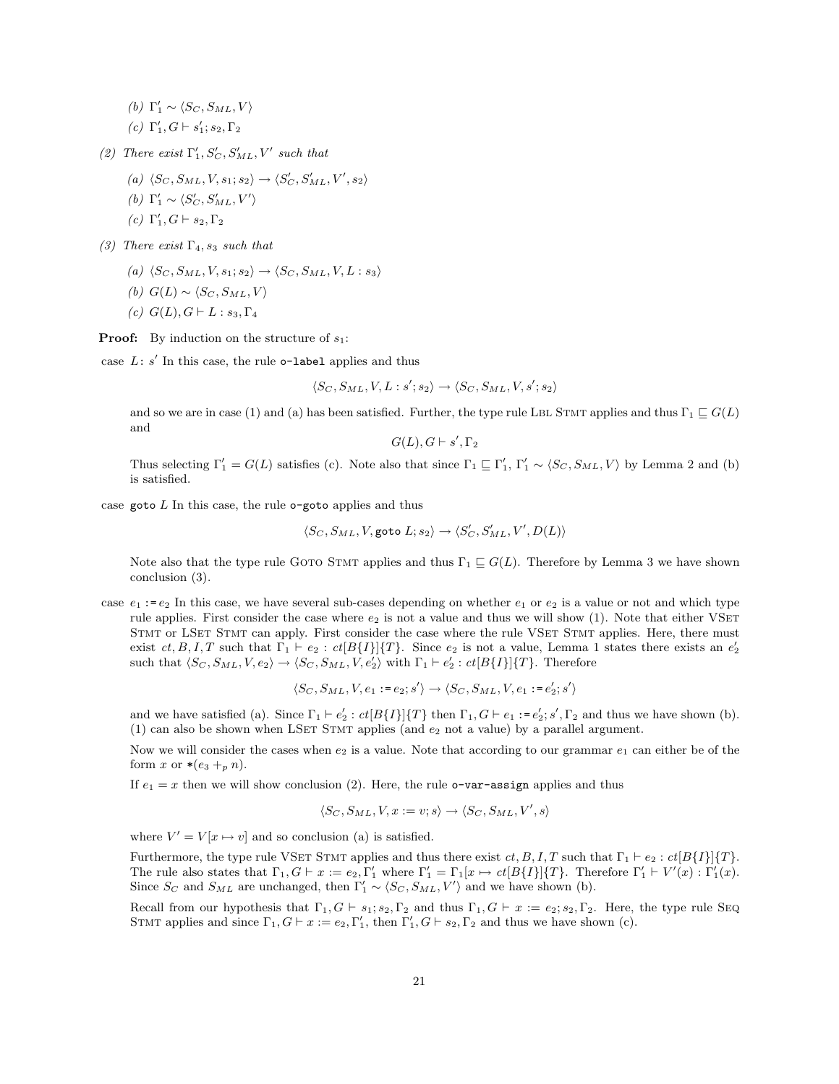(b)  $\Gamma'_1 \sim \langle S_C, S_{ML}, V \rangle$ 

(c)  $\Gamma_1', G \vdash s_1'; s_2, \Gamma_2$ 

- (2) There exist  $\Gamma'_1, S'_C, S'_{ML}, V'$  such that
	- (a)  $\langle S_C, S_{ML}, V, s_1; s_2 \rangle \rightarrow \langle S_C', S_{ML}', V', s_2 \rangle$
	- (b)  $\Gamma'_1 \sim \langle S'_C, S'_{ML}, V' \rangle$
	- (c)  $\Gamma_1', G \vdash s_2, \Gamma_2$
- (3) There exist  $\Gamma_4$ ,  $s_3$  such that
	- (a)  $\langle S_C, S_{ML}, V, s_1; s_2 \rangle \rightarrow \langle S_C, S_{ML}, V, L : s_3 \rangle$
	- (b)  $G(L) \sim \langle S_C, S_{ML}, V \rangle$
	- (c)  $G(L)$ ,  $G \vdash L : s_3, \Gamma_4$

**Proof:** By induction on the structure of  $s_1$ :

case  $L: s'$  In this case, the rule o-label applies and thus

$$
\langle S_C, S_{ML}, V, L : s'; s_2 \rangle \rightarrow \langle S_C, S_{ML}, V, s'; s_2 \rangle
$$

and so we are in case (1) and (a) has been satisfied. Further, the type rule LBL STMT applies and thus  $\Gamma_1 \sqsubseteq G(L)$ and

$$
G(L), G \vdash s', \Gamma_2
$$

Thus selecting  $\Gamma'_1 = G(L)$  satisfies (c). Note also that since  $\Gamma_1 \subseteq \Gamma'_1$ ,  $\Gamma'_1 \sim \langle S_C, S_{ML}, V \rangle$  by Lemma 2 and (b) is satisfied.

case goto  $L$  In this case, the rule  $o$ -goto applies and thus

$$
\langle S_C, S_{ML}, V, \text{goto } L; s_2 \rangle \rightarrow \langle S_C', S_{ML}', V', D(L) \rangle
$$

Note also that the type rule GOTO STMT applies and thus  $\Gamma_1 \sqsubseteq G(L)$ . Therefore by Lemma 3 we have shown conclusion (3).

case  $e_1 := e_2$  In this case, we have several sub-cases depending on whether  $e_1$  or  $e_2$  is a value or not and which type rule applies. First consider the case where  $e_2$  is not a value and thus we will show  $(1)$ . Note that either VSET STMT or LSET STMT can apply. First consider the case where the rule VSET STMT applies. Here, there must exist  $ct, B, I, T$  such that  $\Gamma_1 \vdash e_2 : ct[B\{I\}]\{T\}$ . Since  $e_2$  is not a value, Lemma 1 states there exists an  $e'_2$ such that  $\langle S_C, S_{ML}, V, e_2 \rangle \rightarrow \langle S_C, S_{ML}, V, e_2' \rangle$  with  $\Gamma_1 \vdash e_2' : ct[B\{I\}]\{T\}$ . Therefore

$$
\langle S_C, S_{ML}, V, e_1:=e_2;s'\rangle \rightarrow \langle S_C, S_{ML}, V, e_1:=e_2';s'\rangle
$$

and we have satisfied (a). Since  $\Gamma_1 \vdash e_2' : ct[B\{I\}]\{T\}$  then  $\Gamma_1, G \vdash e_1 := e_2'; s', \Gamma_2$  and thus we have shown (b). (1) can also be shown when LSET STMT applies (and  $e_2$  not a value) by a parallel argument.

Now we will consider the cases when  $e_2$  is a value. Note that according to our grammar  $e_1$  can either be of the form x or  $*(e_3 +_p n)$ .

If  $e_1 = x$  then we will show conclusion (2). Here, the rule **o-var-assign** applies and thus

$$
\langle S_C, S_{ML}, V, x := v; s \rangle \rightarrow \langle S_C, S_{ML}, V', s \rangle
$$

where  $V' = V[x \mapsto v]$  and so conclusion (a) is satisfied.

Furthermore, the type rule VSET STMT applies and thus there exist  $ct, B, I, T$  such that  $\Gamma_1 \vdash e_2 : ct[B\{I\}]\{T\}.$ The rule also states that  $\Gamma_1, G \vdash x := e_2, \Gamma'_1$  where  $\Gamma'_1 = \Gamma_1[x \mapsto ct[B\{I\}]\{T\}$ . Therefore  $\Gamma'_1 \vdash V'(x) : \Gamma'_1(x)$ . Since  $S_C$  and  $S_{ML}$  are unchanged, then  $\Gamma'_1 \sim \langle S_C, S_{ML}, V' \rangle$  and we have shown (b).

Recall from our hypothesis that  $\Gamma_1, G \vdash s_1; s_2, \Gamma_2$  and thus  $\Gamma_1, G \vdash x := e_2; s_2, \Gamma_2$ . Here, the type rule SEQ STMT applies and since  $\Gamma_1, G \vdash x := e_2, \Gamma'_1$ , then  $\Gamma'_1, G \vdash s_2, \Gamma_2$  and thus we have shown (c).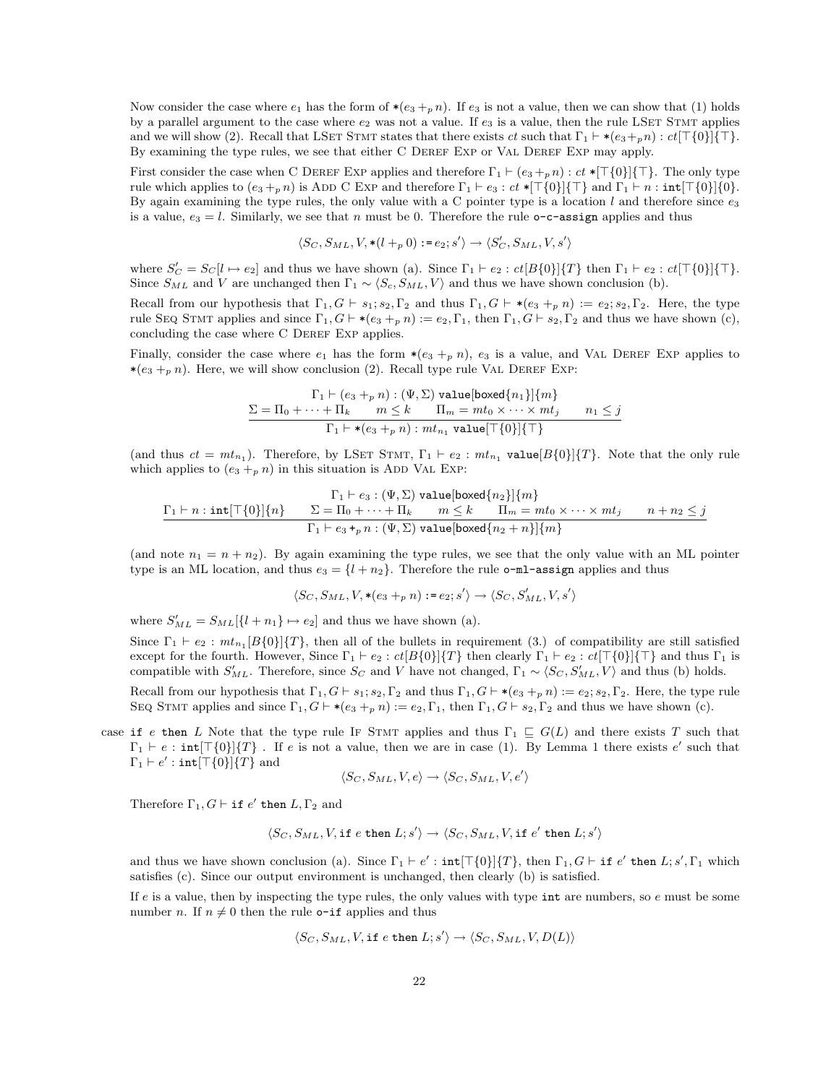Now consider the case where  $e_1$  has the form of  $*(e_3 + p n)$ . If  $e_3$  is not a value, then we can show that (1) holds by a parallel argument to the case where  $e_2$  was not a value. If  $e_3$  is a value, then the rule LSET STMT applies and we will show (2). Recall that LSET STMT states that there exists ct such that  $\Gamma_1 \vdash * (e_3+p n) : ct[\top\{0\}]\top$ . By examining the type rules, we see that either C DEREF EXP or VAL DEREF EXP may apply.

First consider the case when C DEREF EXP applies and therefore  $\Gamma_1 \vdash (e_3 +_p n) : ct *[\top{0}]\{\top\}$ . The only type rule which applies to  $(e_3 +_p n)$  is ADD C EXP and therefore  $\Gamma_1 \vdash e_3 : ct *[\top\{0}\][\top\}$  and  $\Gamma_1 \vdash n : \text{int}[\top\{0}\][0].$ By again examining the type rules, the only value with a C pointer type is a location l and therefore since  $e_3$ is a value,  $e_3 = l$ . Similarly, we see that n must be 0. Therefore the rule  $\circ$ -c-assign applies and thus

$$
\langle S_C, S_{ML}, V, * (l +_p 0) : = e_2; s' \rangle \rightarrow \langle S_C', S_{ML}, V, s' \rangle
$$

where  $S_C' = S_C[l \mapsto e_2]$  and thus we have shown (a). Since  $\Gamma_1 \vdash e_2 : ct[B\{0\}]\{T\}$  then  $\Gamma_1 \vdash e_2 : ct[\top\{0\}]\{\top\}$ . Since  $S_{ML}$  and V are unchanged then  $\Gamma_1 \sim \langle S_c, S_{ML}, V \rangle$  and thus we have shown conclusion (b).

Recall from our hypothesis that  $\Gamma_1, G \vdash s_1; s_2, \Gamma_2$  and thus  $\Gamma_1, G \vdash * (e_3 +_p n) := e_2; s_2, \Gamma_2$ . Here, the type rule SEQ STMT applies and since  $\Gamma_1, G \vdash * (e_3 +_p n) := e_2, \Gamma_1$ , then  $\Gamma_1, G \vdash s_2, \Gamma_2$  and thus we have shown (c), concluding the case where C DEREF EXP applies.

Finally, consider the case where  $e_1$  has the form  $*(e_3 +_p n)$ ,  $e_3$  is a value, and VAL DEREF EXP applies to  $*(e_3 + p n)$ . Here, we will show conclusion (2). Recall type rule VAL DEREF EXP:

$$
\frac{\Gamma_1 \vdash (e_3 +_p n) : (\Psi, \Sigma) \text{ value}[boxed\{n_1\}]\{m\}}{\Gamma_1 \vdash * (e_3 +_p n) : mt_n = mt_0 \times \cdots \times mt_j \qquad n_1 \leq j}
$$
\n
$$
\frac{\Gamma_1 \vdash * (e_3 +_p n) : mt_{n_1} \text{ value}[\top\{0\}]\{\top\}}{\Gamma_1 \vdash * (e_3 +_p n) : mt_{n_1} \text{ value}[\top\{0\}]\{\top\}}
$$

(and thus  $ct = mt_{n_1}$ ). Therefore, by LSET STMT,  $\Gamma_1 \vdash e_2 : mt_{n_1}$  value  $[B\{0\}]\{T\}$ . Note that the only rule which applies to  $(e_3 +_p n)$  in this situation is ADD VAL Exp:

$$
\frac{\Gamma_1 \vdash e_3 : (\Psi, \Sigma) \text{ value}[{\sf boxed}\{n_2\}]\{m\}}{\Gamma_1 \vdash n : \text{int}[\top\{0\}]\{n\}} \qquad \Sigma = \Pi_0 + \dots + \Pi_k \qquad m \le k \qquad \Pi_m = mt_0 \times \dots \times mt_j \qquad n + n_2 \le j
$$
\n
$$
\frac{\Gamma_1 \vdash e_3 \cdot \mu n : (\Psi, \Sigma) \text{ value}[{\sf boxed}\{n_2 + n\}]\{m\}}{\Gamma_1 \vdash e_3 \cdot \mu n : (\Psi, \Sigma) \text{ value}[{\sf boxed}\{n_2 + n\}]\{m\}}
$$

(and note  $n_1 = n + n_2$ ). By again examining the type rules, we see that the only value with an ML pointer type is an ML location, and thus  $e_3 = \{l + n_2\}$ . Therefore the rule **o-ml-assign** applies and thus

$$
\langle S_C, S_{ML}, V, * (e_3 +_p n) : = e_2; s' \rangle \rightarrow \langle S_C, S_{ML}', V, s' \rangle
$$

where  $S'_{ML} = S_{ML}[\lbrace l + n_1 \rbrace \mapsto e_2]$  and thus we have shown (a).

Since  $\Gamma_1 \vdash e_2 : mt_{n_1}[B\{0\}]\{T\}$ , then all of the bullets in requirement (3.) of compatibility are still satisfied except for the fourth. However, Since  $\Gamma_1 \vdash e_2 : ct[B\{0\}]\{T\}$  then clearly  $\Gamma_1 \vdash e_2 : ct[\top\{0\}]\{\top\}$  and thus  $\Gamma_1$  is compatible with  $S'_{ML}$ . Therefore, since S<sub>C</sub> and V have not changed,  $\Gamma_1 \sim \langle S_C, S'_{ML}, V \rangle$  and thus (b) holds.

Recall from our hypothesis that  $\Gamma_1, G \vdash s_1; s_2, \Gamma_2$  and thus  $\Gamma_1, G \vdash * (e_3 +_p n) := e_2; s_2, \Gamma_2$ . Here, the type rule SEQ STMT applies and since  $\Gamma_1, G \vdash * (e_3 +_p n) := e_2, \Gamma_1$ , then  $\Gamma_1, G \vdash s_2, \Gamma_2$  and thus we have shown (c).

case if e then L Note that the type rule If STMT applies and thus  $\Gamma_1 \subseteq G(L)$  and there exists T such that  $\Gamma_1 \vdash e : \text{int}[\top\{0\}]\{T\}$ . If e is not a value, then we are in case (1). By Lemma 1 there exists e' such that  $\Gamma_1 \vdash e' : \texttt{int}[\top\{0\}]\{T\}$  and

$$
\langle S_C, S_{ML}, V, e \rangle \rightarrow \langle S_C, S_{ML}, V, e' \rangle
$$

Therefore  $\Gamma_1, G \vdash \texttt{if } e' \texttt{ then } L, \Gamma_2 \texttt{ and }$ 

$$
\langle S_C, S_{ML}, V, \text{if } e \text{ then } L; s' \rangle \rightarrow \langle S_C, S_{ML}, V, \text{if } e' \text{ then } L; s' \rangle
$$

and thus we have shown conclusion (a). Since  $\Gamma_1 \vdash e'$ :  $\text{int}[\top\{0\}]\{T\}$ , then  $\Gamma_1, G \vdash \text{if } e'$  then  $L; s', \Gamma_1$  which satisfies (c). Since our output environment is unchanged, then clearly (b) is satisfied.

If  $e$  is a value, then by inspecting the type rules, the only values with type int are numbers, so  $e$  must be some number *n*. If  $n \neq 0$  then the rule o-if applies and thus

$$
\langle S_C, S_{ML}, V, \text{if } e \text{ then } L; s' \rangle \rightarrow \langle S_C, S_{ML}, V, D(L) \rangle
$$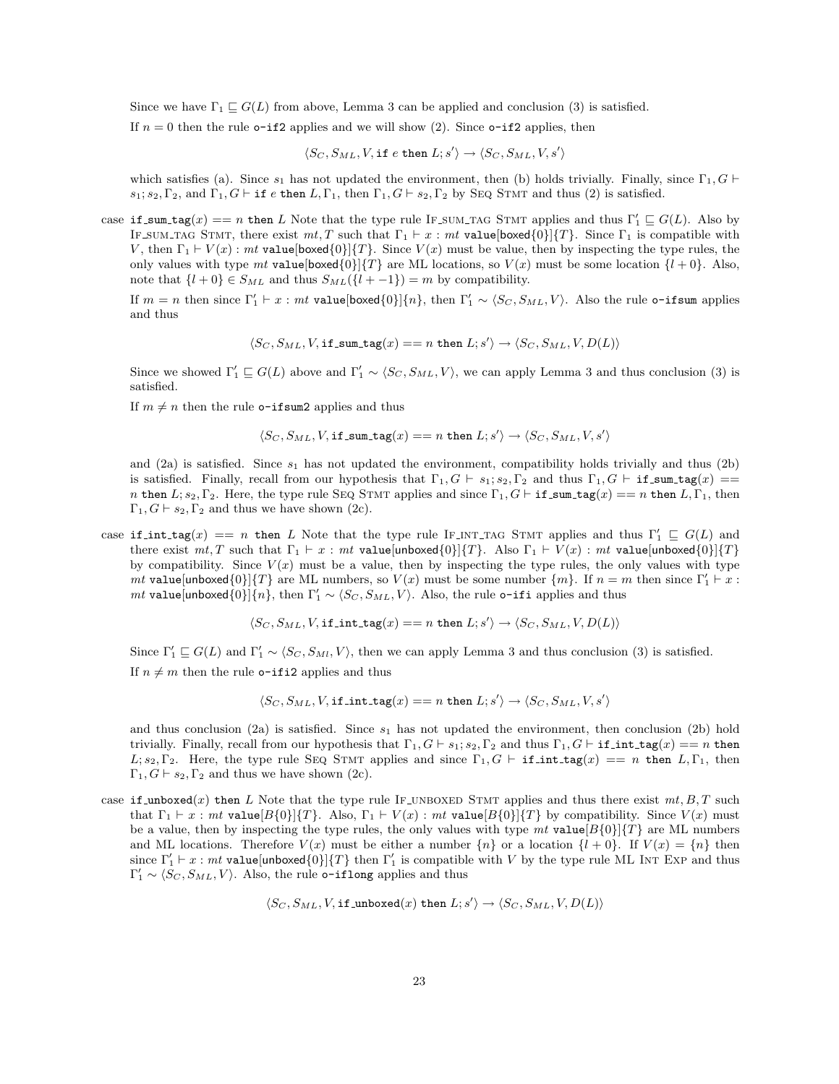Since we have  $\Gamma_1 \sqsubseteq G(L)$  from above, Lemma 3 can be applied and conclusion (3) is satisfied.

If  $n = 0$  then the rule **o-if2** applies and we will show (2). Since **o-if2** applies, then

 $\langle S_C, S_{ML}, V$ , if e then  $L; s' \rangle \rightarrow \langle S_C, S_{ML}, V, s' \rangle$ 

which satisfies (a). Since  $s_1$  has not updated the environment, then (b) holds trivially. Finally, since  $\Gamma_1, G \vdash$  $s_1; s_2, \Gamma_2$ , and  $\Gamma_1, G \vdash$  if e then  $L, \Gamma_1$ , then  $\Gamma_1, G \vdash s_2, \Gamma_2$  by SEQ STMT and thus (2) is satisfied.

case if sum tag(x) == n then L Note that the type rule IF SUM TAG STMT applies and thus  $\Gamma'_1 \subseteq G(L)$ . Also by IF SUM TAG STMT, there exist  $mt, T$  such that  $\Gamma_1 \vdash x : mt$  value[boxed{0}]{T}. Since  $\Gamma_1$  is compatible with V, then  $\Gamma_1 \vdash V(x)$ : mt value[boxed{0}]{T}. Since  $V(x)$  must be value, then by inspecting the type rules, the only values with type mt value [boxed{0}]{T} are ML locations, so  $V(x)$  must be some location  $\{l+0\}$ . Also, note that  $\{l+0\} \in S_{ML}$  and thus  $S_{ML}(\{l+0\}) = m$  by compatibility.

If  $m = n$  then since  $\Gamma'_1 \vdash x : mt$  value[boxed{0}]{ $n$ }, then  $\Gamma'_1 \sim \langle S_C, S_{ML}, V \rangle$ . Also the rule o-ifsum applies and thus

$$
\langle S_C, S_{ML}, V, \text{if\_sum\_tag}(x) == n \text{ then } L; s' \rangle \rightarrow \langle S_C, S_{ML}, V, D(L) \rangle
$$

Since we showed  $\Gamma'_1 \subseteq G(L)$  above and  $\Gamma'_1 \sim \langle S_C, S_{ML}, V \rangle$ , we can apply Lemma 3 and thus conclusion (3) is satisfied.

If  $m \neq n$  then the rule o-ifsum2 applies and thus

$$
\langle S_C, S_{ML}, V, \text{if\_sum\_tag}(x) == n \text{ then } L; s' \rangle \rightarrow \langle S_C, S_{ML}, V, s' \rangle
$$

and (2a) is satisfied. Since  $s_1$  has not updated the environment, compatibility holds trivially and thus (2b) is satisfied. Finally, recall from our hypothesis that  $\Gamma_1, G \vdash s_1; s_2, \Gamma_2$  and thus  $\Gamma_1, G \vdash i\text{f\_sum\_tag}(x) ==$ n then  $L; s_2, \Gamma_2$ . Here, the type rule SEQ STMT applies and since  $\Gamma_1, G \vdash \text{if\_sum\_tag}(x) == n$  then  $L, \Gamma_1$ , then  $\Gamma_1, G \vdash s_2, \Gamma_2$  and thus we have shown (2c).

case if int tag(x) == n then L Note that the type rule IF INT TAG STMT applies and thus  $\Gamma'_1 \subseteq G(L)$  and there exist  $mt, T$  such that  $\Gamma_1 \vdash x : mt$  value[unboxed{0}]{T}. Also  $\Gamma_1 \vdash V(x) : mt$  value[unboxed{0}]{T} by compatibility. Since  $V(x)$  must be a value, then by inspecting the type rules, the only values with type mt value[unboxed $\{0\}$ ] $\{T\}$  are ML numbers, so  $V(x)$  must be some number  $\{m\}$ . If  $n = m$  then since  $\Gamma'_1 \vdash x$ : *mt* value[unboxed $\{0\}$ ] $\{n\}$ , then  $\Gamma'_1 \sim \langle S_C, S_{ML}, V \rangle$ . Also, the rule o-ifi applies and thus

$$
\langle S_C, S_{ML}, V, \text{if} \text{int\_tag}(x) == n \text{ then } L; s' \rangle \rightarrow \langle S_C, S_{ML}, V, D(L) \rangle
$$

Since  $\Gamma'_1 \subseteq G(L)$  and  $\Gamma'_1 \sim \langle S_C, S_{Ml}, V \rangle$ , then we can apply Lemma 3 and thus conclusion (3) is satisfied. If  $n \neq m$  then the rule **o-ifi2** applies and thus

$$
\langle S_C, S_{ML}, V, \text{if} \text{int\_tag}(x) == n \text{ then } L; s' \rangle \rightarrow \langle S_C, S_{ML}, V, s' \rangle
$$

and thus conclusion (2a) is satisfied. Since  $s_1$  has not updated the environment, then conclusion (2b) hold trivially. Finally, recall from our hypothesis that  $\Gamma_1, G \vdash s_1; s_2, \Gamma_2$  and thus  $\Gamma_1, G \vdash \text{if.int-tag}(x) == n$  then L;  $s_2, \Gamma_2$ . Here, the type rule SEQ STMT applies and since  $\Gamma_1, G \vdash \text{if-int-tag}(x) == n$  then  $L, \Gamma_1$ , then  $\Gamma_1, G \vdash s_2, \Gamma_2$  and thus we have shown (2c).

case if unboxed(x) then L Note that the type rule IF UNBOXED STMT applies and thus there exist  $mt, B, T$  such that  $\Gamma_1 \vdash x : mt$  value $[B\{0\}]\{T\}$ . Also,  $\Gamma_1 \vdash V(x) : mt$  value $[B\{0\}]\{T\}$  by compatibility. Since  $V(x)$  must be a value, then by inspecting the type rules, the only values with type  $mt$  value  $[B{0}]\{T\}$  are ML numbers and ML locations. Therefore  $V(x)$  must be either a number  $\{n\}$  or a location  $\{l + 0\}$ . If  $V(x) = \{n\}$  then since  $\Gamma'_1 \vdash x : mt$  value[unboxed{0}]{T} then  $\Gamma'_1$  is compatible with V by the type rule ML INT EXP and thus  $\Gamma'_1 \sim \langle S_C, S_{ML}, V \rangle$ . Also, the rule o-iflong applies and thus

$$
\langle S_C, S_{ML}, V, \text{if\_unboxed}(x) \text{ then } L; s' \rangle \rightarrow \langle S_C, S_{ML}, V, D(L) \rangle
$$